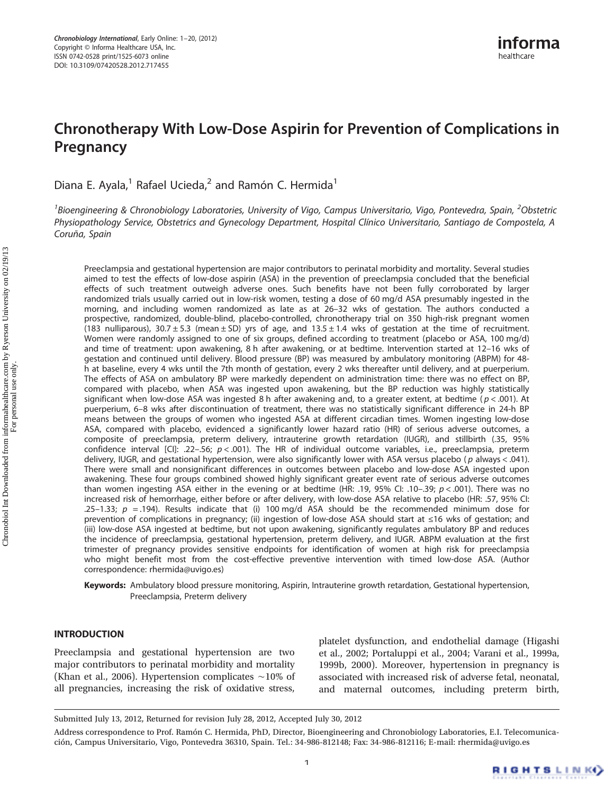# Chronotherapy With Low-Dose Aspirin for Prevention of Complications in Pregnancy

Diana E. Ayala,<sup>1</sup> Rafael Ucieda,<sup>2</sup> and Ramón C. Hermida<sup>1</sup>

 $^{\text{1}}$ Bioengineering & Chronobiology Laboratories, University of Vigo, Campus Universitario, Vigo, Pontevedra, Spain,  $^{\text{2}}$ Obstetric Physiopathology Service, Obstetrics and Gynecology Department, Hospital Clínico Universitario, Santiago de Compostela, A Coruña, Spain

Preeclampsia and gestational hypertension are major contributors to perinatal morbidity and mortality. Several studies aimed to test the effects of low-dose aspirin (ASA) in the prevention of preeclampsia concluded that the beneficial effects of such treatment outweigh adverse ones. Such benefits have not been fully corroborated by larger randomized trials usually carried out in low-risk women, testing a dose of 60 mg/d ASA presumably ingested in the morning, and including women randomized as late as at 26–32 wks of gestation. The authors conducted a prospective, randomized, double-blind, placebo-controlled, chronotherapy trial on 350 high-risk pregnant women (183 nulliparous),  $30.7 \pm 5.3$  (mean  $\pm$  SD) yrs of age, and 13.5  $\pm$  1.4 wks of gestation at the time of recruitment. Women were randomly assigned to one of six groups, defined according to treatment (placebo or ASA, 100 mg/d) and time of treatment: upon awakening, 8 h after awakening, or at bedtime. Intervention started at 12–16 wks of gestation and continued until delivery. Blood pressure (BP) was measured by ambulatory monitoring (ABPM) for 48 h at baseline, every 4 wks until the 7th month of gestation, every 2 wks thereafter until delivery, and at puerperium. The effects of ASA on ambulatory BP were markedly dependent on administration time: there was no effect on BP, compared with placebo, when ASA was ingested upon awakening, but the BP reduction was highly statistically significant when low-dose ASA was ingested 8 h after awakening and, to a greater extent, at bedtime ( $p < .001$ ). At puerperium, 6–8 wks after discontinuation of treatment, there was no statistically significant difference in 24-h BP means between the groups of women who ingested ASA at different circadian times. Women ingesting low-dose ASA, compared with placebo, evidenced a significantly lower hazard ratio (HR) of serious adverse outcomes, a composite of preeclampsia, preterm delivery, intrauterine growth retardation (IUGR), and stillbirth (.35, 95% confidence interval [CI]: .22-.56;  $p < .001$ ). The HR of individual outcome variables, i.e., preeclampsia, preterm delivery, IUGR, and gestational hypertension, were also significantly lower with ASA versus placebo ( p always < .041). There were small and nonsignificant differences in outcomes between placebo and low-dose ASA ingested upon awakening. These four groups combined showed highly significant greater event rate of serious adverse outcomes than women ingesting ASA either in the evening or at bedtime (HR: .19, 95% CI: .10–.39;  $p < .001$ ). There was no increased risk of hemorrhage, either before or after delivery, with low-dose ASA relative to placebo (HR: .57, 95% CI: .25–1.33;  $p = .194$ ). Results indicate that (i) 100 mg/d ASA should be the recommended minimum dose for prevention of complications in pregnancy; (ii) ingestion of low-dose ASA should start at ≤16 wks of gestation; and (iii) low-dose ASA ingested at bedtime, but not upon awakening, significantly regulates ambulatory BP and reduces the incidence of preeclampsia, gestational hypertension, preterm delivery, and IUGR. ABPM evaluation at the first trimester of pregnancy provides sensitive endpoints for identification of women at high risk for preeclampsia who might benefit most from the cost-effective preventive intervention with timed low-dose ASA. (Author correspondence: rhermida@uvigo.es)

Keywords: Ambulatory blood pressure monitoring, Aspirin, Intrauterine growth retardation, Gestational hypertension, Preeclampsia, Preterm delivery

# INTRODUCTION

Preeclampsia and gestational hypertension are two major contributors to perinatal morbidity and mortality (Khan et al., 2006). Hypertension complicates ∼10% of all pregnancies, increasing the risk of oxidative stress,

platelet dysfunction, and endothelial damage (Higashi et al., 2002; Portaluppi et al., 2004; Varani et al., 1999a, 1999b, 2000). Moreover, hypertension in pregnancy is associated with increased risk of adverse fetal, neonatal, and maternal outcomes, including preterm birth,

Submitted July 13, 2012, Returned for revision July 28, 2012, Accepted July 30, 2012

Address correspondence to Prof. Ramón C. Hermida, PhD, Director, Bioengineering and Chronobiology Laboratories, E.I. Telecomunicación, Campus Universitario, Vigo, Pontevedra 36310, Spain. Tel.: 34-986-812148; Fax: 34-986-812116; E-mail: rhermida@uvigo.es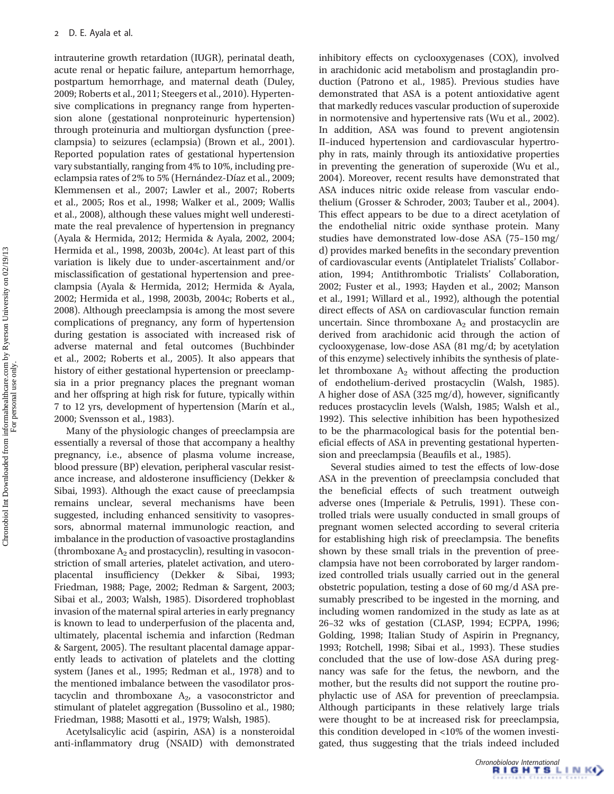intrauterine growth retardation (IUGR), perinatal death, acute renal or hepatic failure, antepartum hemorrhage, postpartum hemorrhage, and maternal death (Duley, 2009; Roberts et al., 2011; Steegers et al., 2010). Hypertensive complications in pregnancy range from hypertension alone (gestational nonproteinuric hypertension) through proteinuria and multiorgan dysfunction (preeclampsia) to seizures (eclampsia) (Brown et al., 2001). Reported population rates of gestational hypertension vary substantially, ranging from 4% to 10%, including preeclampsia rates of 2% to 5% (Hernández-Díaz et al., 2009; Klemmensen et al., 2007; Lawler et al., 2007; Roberts et al., 2005; Ros et al., 1998; Walker et al., 2009; Wallis et al., 2008), although these values might well underestimate the real prevalence of hypertension in pregnancy (Ayala & Hermida, 2012; Hermida & Ayala, 2002, 2004; Hermida et al., 1998, 2003b, 2004c). At least part of this variation is likely due to under-ascertainment and/or misclassification of gestational hypertension and preeclampsia (Ayala & Hermida, 2012; Hermida & Ayala, 2002; Hermida et al., 1998, 2003b, 2004c; Roberts et al., 2008). Although preeclampsia is among the most severe complications of pregnancy, any form of hypertension during gestation is associated with increased risk of adverse maternal and fetal outcomes (Buchbinder et al., 2002; Roberts et al., 2005). It also appears that history of either gestational hypertension or preeclampsia in a prior pregnancy places the pregnant woman and her offspring at high risk for future, typically within 7 to 12 yrs, development of hypertension (Marín et al., 2000; Svensson et al., 1983).

Many of the physiologic changes of preeclampsia are essentially a reversal of those that accompany a healthy pregnancy, i.e., absence of plasma volume increase, blood pressure (BP) elevation, peripheral vascular resistance increase, and aldosterone insufficiency (Dekker & Sibai, 1993). Although the exact cause of preeclampsia remains unclear, several mechanisms have been suggested, including enhanced sensitivity to vasopressors, abnormal maternal immunologic reaction, and imbalance in the production of vasoactive prostaglandins (thromboxane  $A_2$  and prostacyclin), resulting in vasoconstriction of small arteries, platelet activation, and uteroplacental insufficiency (Dekker & Sibai, 1993; Friedman, 1988; Page, 2002; Redman & Sargent, 2003; Sibai et al., 2003; Walsh, 1985). Disordered trophoblast invasion of the maternal spiral arteries in early pregnancy is known to lead to underperfusion of the placenta and, ultimately, placental ischemia and infarction (Redman & Sargent, 2005). The resultant placental damage apparently leads to activation of platelets and the clotting system (Janes et al., 1995; Redman et al., 1978) and to the mentioned imbalance between the vasodilator prostacyclin and thromboxane  $A_2$ , a vasoconstrictor and stimulant of platelet aggregation (Bussolino et al., 1980; Friedman, 1988; Masotti et al., 1979; Walsh, 1985).

Acetylsalicylic acid (aspirin, ASA) is a nonsteroidal anti-inflammatory drug (NSAID) with demonstrated

inhibitory effects on cyclooxygenases (COX), involved in arachidonic acid metabolism and prostaglandin production (Patrono et al., 1985). Previous studies have demonstrated that ASA is a potent antioxidative agent that markedly reduces vascular production of superoxide in normotensive and hypertensive rats (Wu et al., 2002). In addition, ASA was found to prevent angiotensin II–induced hypertension and cardiovascular hypertrophy in rats, mainly through its antioxidative properties in preventing the generation of superoxide (Wu et al., 2004). Moreover, recent results have demonstrated that ASA induces nitric oxide release from vascular endothelium (Grosser & Schroder, 2003; Tauber et al., 2004). This effect appears to be due to a direct acetylation of the endothelial nitric oxide synthase protein. Many studies have demonstrated low-dose ASA (75–150 mg/ d) provides marked benefits in the secondary prevention of cardiovascular events (Antiplatelet Trialists' Collaboration, 1994; Antithrombotic Trialists' Collaboration, 2002; Fuster et al., 1993; Hayden et al., 2002; Manson et al., 1991; Willard et al., 1992), although the potential direct effects of ASA on cardiovascular function remain uncertain. Since thromboxane  $A_2$  and prostacyclin are derived from arachidonic acid through the action of cyclooxygenase, low-dose ASA (81 mg/d; by acetylation of this enzyme) selectively inhibits the synthesis of platelet thromboxane  $A_2$  without affecting the production of endothelium-derived prostacyclin (Walsh, 1985). A higher dose of ASA (325 mg/d), however, significantly reduces prostacyclin levels (Walsh, 1985; Walsh et al., 1992). This selective inhibition has been hypothesized to be the pharmacological basis for the potential beneficial effects of ASA in preventing gestational hypertension and preeclampsia (Beaufils et al., 1985).

Several studies aimed to test the effects of low-dose ASA in the prevention of preeclampsia concluded that the beneficial effects of such treatment outweigh adverse ones (Imperiale & Petrulis, 1991). These controlled trials were usually conducted in small groups of pregnant women selected according to several criteria for establishing high risk of preeclampsia. The benefits shown by these small trials in the prevention of preeclampsia have not been corroborated by larger randomized controlled trials usually carried out in the general obstetric population, testing a dose of 60 mg/d ASA presumably prescribed to be ingested in the morning, and including women randomized in the study as late as at 26–32 wks of gestation (CLASP, 1994; ECPPA, 1996; Golding, 1998; Italian Study of Aspirin in Pregnancy, 1993; Rotchell, 1998; Sibai et al., 1993). These studies concluded that the use of low-dose ASA during pregnancy was safe for the fetus, the newborn, and the mother, but the results did not support the routine prophylactic use of ASA for prevention of preeclampsia. Although participants in these relatively large trials were thought to be at increased risk for preeclampsia, this condition developed in <10% of the women investigated, thus suggesting that the trials indeed included

Chronobiology International<br> **RIGHTSLINK4** 

For personal use only.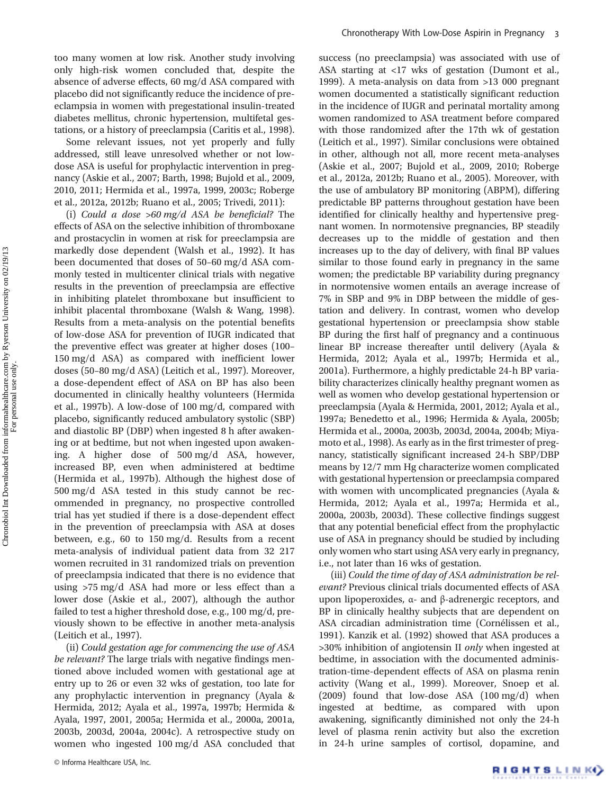too many women at low risk. Another study involving only high-risk women concluded that, despite the absence of adverse effects, 60 mg/d ASA compared with placebo did not significantly reduce the incidence of preeclampsia in women with pregestational insulin-treated diabetes mellitus, chronic hypertension, multifetal gestations, or a history of preeclampsia (Caritis et al., 1998).

Some relevant issues, not yet properly and fully addressed, still leave unresolved whether or not lowdose ASA is useful for prophylactic intervention in pregnancy (Askie et al., 2007; Barth, 1998; Bujold et al., 2009, 2010, 2011; Hermida et al., 1997a, 1999, 2003c; Roberge et al., 2012a, 2012b; Ruano et al., 2005; Trivedi, 2011):

(i) Could a dose >60 mg/d ASA be beneficial? The effects of ASA on the selective inhibition of thromboxane and prostacyclin in women at risk for preeclampsia are markedly dose dependent (Walsh et al., 1992). It has been documented that doses of 50–60 mg/d ASA commonly tested in multicenter clinical trials with negative results in the prevention of preeclampsia are effective in inhibiting platelet thromboxane but insufficient to inhibit placental thromboxane (Walsh & Wang, 1998). Results from a meta-analysis on the potential benefits of low-dose ASA for prevention of IUGR indicated that the preventive effect was greater at higher doses (100– 150 mg/d ASA) as compared with inefficient lower doses (50–80 mg/d ASA) (Leitich et al., 1997). Moreover, a dose-dependent effect of ASA on BP has also been documented in clinically healthy volunteers (Hermida et al., 1997b). A low-dose of 100 mg/d, compared with placebo, significantly reduced ambulatory systolic (SBP) and diastolic BP (DBP) when ingested 8 h after awakening or at bedtime, but not when ingested upon awakening. A higher dose of 500 mg/d ASA, however, increased BP, even when administered at bedtime (Hermida et al., 1997b). Although the highest dose of 500 mg/d ASA tested in this study cannot be recommended in pregnancy, no prospective controlled trial has yet studied if there is a dose-dependent effect in the prevention of preeclampsia with ASA at doses between, e.g., 60 to 150 mg/d. Results from a recent meta-analysis of individual patient data from 32 217 women recruited in 31 randomized trials on prevention of preeclampsia indicated that there is no evidence that using >75 mg/d ASA had more or less effect than a lower dose (Askie et al., 2007), although the author failed to test a higher threshold dose, e.g., 100 mg/d, previously shown to be effective in another meta-analysis (Leitich et al., 1997).

(ii) Could gestation age for commencing the use of ASA be relevant? The large trials with negative findings mentioned above included women with gestational age at entry up to 26 or even 32 wks of gestation, too late for any prophylactic intervention in pregnancy (Ayala & Hermida, 2012; Ayala et al., 1997a, 1997b; Hermida & Ayala, 1997, 2001, 2005a; Hermida et al., 2000a, 2001a, 2003b, 2003d, 2004a, 2004c). A retrospective study on women who ingested 100 mg/d ASA concluded that success (no preeclampsia) was associated with use of ASA starting at <17 wks of gestation (Dumont et al., 1999). A meta-analysis on data from >13 000 pregnant women documented a statistically significant reduction in the incidence of IUGR and perinatal mortality among women randomized to ASA treatment before compared with those randomized after the 17th wk of gestation (Leitich et al., 1997). Similar conclusions were obtained in other, although not all, more recent meta-analyses (Askie et al., 2007; Bujold et al., 2009, 2010; Roberge et al., 2012a, 2012b; Ruano et al., 2005). Moreover, with the use of ambulatory BP monitoring (ABPM), differing predictable BP patterns throughout gestation have been identified for clinically healthy and hypertensive pregnant women. In normotensive pregnancies, BP steadily decreases up to the middle of gestation and then increases up to the day of delivery, with final BP values similar to those found early in pregnancy in the same women; the predictable BP variability during pregnancy in normotensive women entails an average increase of 7% in SBP and 9% in DBP between the middle of gestation and delivery. In contrast, women who develop gestational hypertension or preeclampsia show stable BP during the first half of pregnancy and a continuous linear BP increase thereafter until delivery (Ayala & Hermida, 2012; Ayala et al., 1997b; Hermida et al., 2001a). Furthermore, a highly predictable 24-h BP variability characterizes clinically healthy pregnant women as well as women who develop gestational hypertension or preeclampsia (Ayala & Hermida, 2001, 2012; Ayala et al., 1997a; Benedetto et al., 1996; Hermida & Ayala, 2005b; Hermida et al., 2000a, 2003b, 2003d, 2004a, 2004b; Miyamoto et al., 1998). As early as in the first trimester of pregnancy, statistically significant increased 24-h SBP/DBP means by 12/7 mm Hg characterize women complicated with gestational hypertension or preeclampsia compared with women with uncomplicated pregnancies (Ayala & Hermida, 2012; Ayala et al., 1997a; Hermida et al., 2000a, 2003b, 2003d). These collective findings suggest that any potential beneficial effect from the prophylactic use of ASA in pregnancy should be studied by including only women who start using ASA very early in pregnancy, i.e., not later than 16 wks of gestation.

(iii) Could the time of day of ASA administration be relevant? Previous clinical trials documented effects of ASA upon lipoperoxides, α- and β-adrenergic receptors, and BP in clinically healthy subjects that are dependent on ASA circadian administration time (Cornélissen et al., 1991). Kanzik et al. (1992) showed that ASA produces a >30% inhibition of angiotensin II only when ingested at bedtime, in association with the documented administration-time-dependent effects of ASA on plasma renin activity (Wang et al., 1999). Moreover, Snoep et al. (2009) found that low-dose ASA (100 mg/d) when ingested at bedtime, as compared with upon awakening, significantly diminished not only the 24-h level of plasma renin activity but also the excretion in 24-h urine samples of cortisol, dopamine, and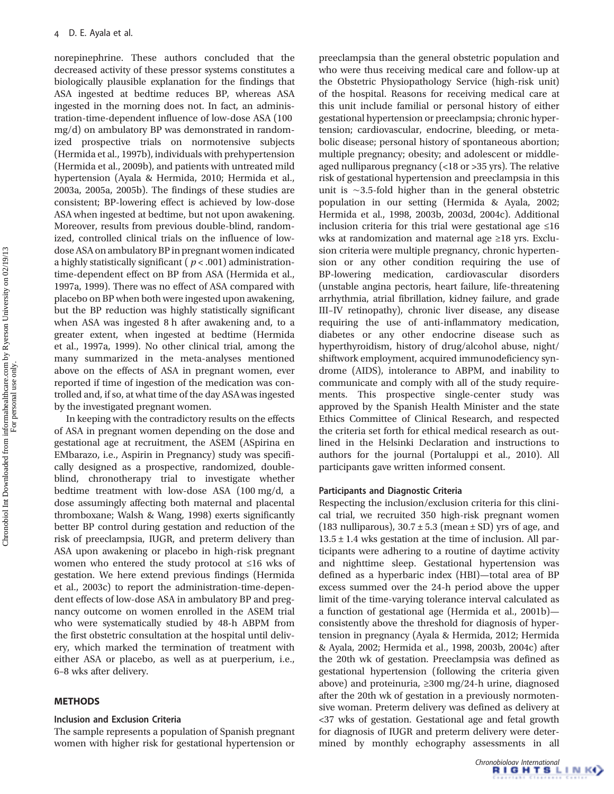norepinephrine. These authors concluded that the decreased activity of these pressor systems constitutes a biologically plausible explanation for the findings that ASA ingested at bedtime reduces BP, whereas ASA ingested in the morning does not. In fact, an administration-time-dependent influence of low-dose ASA (100 mg/d) on ambulatory BP was demonstrated in randomized prospective trials on normotensive subjects (Hermida et al., 1997b), individuals with prehypertension (Hermida et al., 2009b), and patients with untreated mild hypertension (Ayala & Hermida, 2010; Hermida et al., 2003a, 2005a, 2005b). The findings of these studies are consistent; BP-lowering effect is achieved by low-dose ASA when ingested at bedtime, but not upon awakening. Moreover, results from previous double-blind, randomized, controlled clinical trials on the influence of lowdose ASA on ambulatory BP in pregnant women indicated a highly statistically significant ( $p < .001$ ) administrationtime-dependent effect on BP from ASA (Hermida et al., 1997a, 1999). There was no effect of ASA compared with placebo on BP when both were ingested upon awakening, but the BP reduction was highly statistically significant when ASA was ingested 8 h after awakening and, to a greater extent, when ingested at bedtime (Hermida et al., 1997a, 1999). No other clinical trial, among the many summarized in the meta-analyses mentioned above on the effects of ASA in pregnant women, ever reported if time of ingestion of the medication was controlled and, if so, at what time of the day ASA was ingested by the investigated pregnant women.

In keeping with the contradictory results on the effects of ASA in pregnant women depending on the dose and gestational age at recruitment, the ASEM (ASpirina en EMbarazo, i.e., Aspirin in Pregnancy) study was specifically designed as a prospective, randomized, doubleblind, chronotherapy trial to investigate whether bedtime treatment with low-dose ASA (100 mg/d, a dose assumingly affecting both maternal and placental thromboxane; Walsh & Wang, 1998) exerts significantly better BP control during gestation and reduction of the risk of preeclampsia, IUGR, and preterm delivery than ASA upon awakening or placebo in high-risk pregnant women who entered the study protocol at ≤16 wks of gestation. We here extend previous findings (Hermida et al., 2003c) to report the administration-time-dependent effects of low-dose ASA in ambulatory BP and pregnancy outcome on women enrolled in the ASEM trial who were systematically studied by 48-h ABPM from the first obstetric consultation at the hospital until delivery, which marked the termination of treatment with either ASA or placebo, as well as at puerperium, i.e., 6–8 wks after delivery.

# **METHODS**

#### Inclusion and Exclusion Criteria

The sample represents a population of Spanish pregnant women with higher risk for gestational hypertension or

preeclampsia than the general obstetric population and who were thus receiving medical care and follow-up at the Obstetric Physiopathology Service (high-risk unit) of the hospital. Reasons for receiving medical care at this unit include familial or personal history of either gestational hypertension or preeclampsia; chronic hypertension; cardiovascular, endocrine, bleeding, or metabolic disease; personal history of spontaneous abortion; multiple pregnancy; obesity; and adolescent or middleaged nulliparous pregnancy (<18 or >35 yrs). The relative risk of gestational hypertension and preeclampsia in this unit is ∼3.5-fold higher than in the general obstetric population in our setting (Hermida & Ayala, 2002; Hermida et al., 1998, 2003b, 2003d, 2004c). Additional inclusion criteria for this trial were gestational age ≤16 wks at randomization and maternal age ≥18 yrs. Exclusion criteria were multiple pregnancy, chronic hypertension or any other condition requiring the use of BP-lowering medication, cardiovascular disorders (unstable angina pectoris, heart failure, life-threatening arrhythmia, atrial fibrillation, kidney failure, and grade III–IV retinopathy), chronic liver disease, any disease requiring the use of anti-inflammatory medication, diabetes or any other endocrine disease such as hyperthyroidism, history of drug/alcohol abuse, night/ shiftwork employment, acquired immunodeficiency syndrome (AIDS), intolerance to ABPM, and inability to communicate and comply with all of the study requirements. This prospective single-center study was approved by the Spanish Health Minister and the state Ethics Committee of Clinical Research, and respected the criteria set forth for ethical medical research as outlined in the Helsinki Declaration and instructions to authors for the journal (Portaluppi et al., 2010). All participants gave written informed consent.

## Participants and Diagnostic Criteria

Respecting the inclusion/exclusion criteria for this clinical trial, we recruited 350 high-risk pregnant women (183 nulliparous),  $30.7 \pm 5.3$  (mean  $\pm$  SD) yrs of age, and  $13.5 \pm 1.4$  wks gestation at the time of inclusion. All participants were adhering to a routine of daytime activity and nighttime sleep. Gestational hypertension was defined as a hyperbaric index (HBI)—total area of BP excess summed over the 24-h period above the upper limit of the time-varying tolerance interval calculated as a function of gestational age (Hermida et al., 2001b) consistently above the threshold for diagnosis of hypertension in pregnancy (Ayala & Hermida, 2012; Hermida & Ayala, 2002; Hermida et al., 1998, 2003b, 2004c) after the 20th wk of gestation. Preeclampsia was defined as gestational hypertension (following the criteria given above) and proteinuria, ≥300 mg/24-h urine, diagnosed after the 20th wk of gestation in a previously normotensive woman. Preterm delivery was defined as delivery at <37 wks of gestation. Gestational age and fetal growth for diagnosis of IUGR and preterm delivery were determined by monthly echography assessments in all

```
Chronobiology International<br>
RIGHTSLINK4
```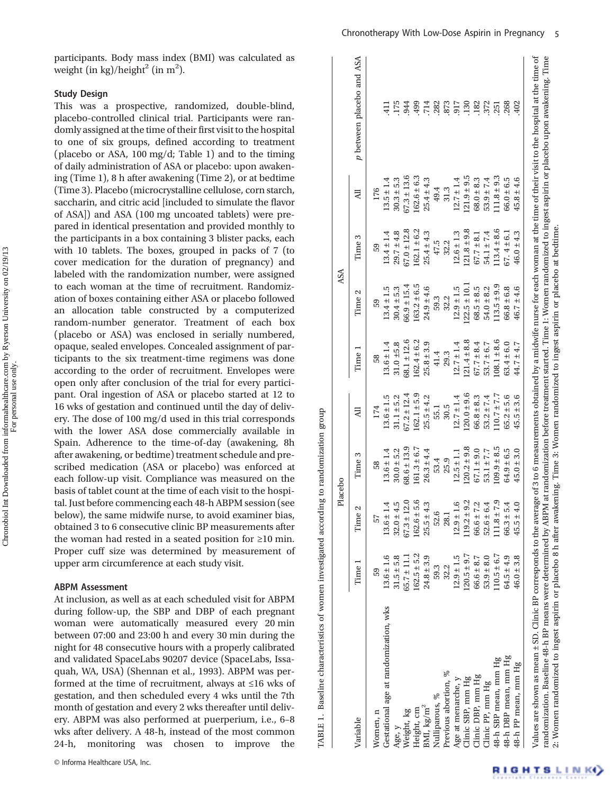participants. Body mass index (BMI) was calculated as weight (in kg)/height<sup>2</sup> (in m<sup>2</sup>).

#### Study Design

This was a prospective, randomized, double-blind, placebo-controlled clinical trial. Participants were randomly assigned at the time of their first visit to the hospital to one of six groups, defined according to treatment (placebo or ASA, 100 mg/d; Table 1) and to the timing of daily administration of ASA or placebo: upon awakening (Time 1), 8 h after awakening (Time 2), or at bedtime (Time 3). Placebo (microcrystalline cellulose, corn starch, saccharin, and citric acid [included to simulate the flavor of ASA]) and ASA (100 mg uncoated tablets) were prepared in identical presentation and provided monthly to the participants in a box containing 3 blister packs, each with 10 tablets. The boxes, grouped in packs of 7 (to cover medication for the duration of pregnancy) and labeled with the randomization number, were assigned to each woman at the time of recruitment. Randomization of boxes containing either ASA or placebo followed an allocation table constructed by a computerized random-number generator. Treatment of each box (placebo or ASA) was enclosed in serially numbered, opaque, sealed envelopes. Concealed assignment of participants to the six treatment-time regimens was done according to the order of recruitment. Envelopes were open only after conclusion of the trial for every participant. Oral ingestion of ASA or placebo started at 12 to 16 wks of gestation and continued until the day of delivery. The dose of 100 mg/d used in this trial corresponds with the lower ASA dose commercially available in Spain. Adherence to the time-of-day (awakening, 8h after awakening, or bedtime) treatment schedule and prescribed medication (ASA or placebo) was enforced at each follow-up visit. Compliance was measured on the basis of tablet count at the time of each visit to the hospital. Just before commencing each 48-h ABPM session (see below), the same midwife nurse, to avoid examiner bias, obtained 3 to 6 consecutive clinic BP measurements after the woman had rested in a seated position for ≥10 min. Proper cuff size was determined by measurement of upper arm circumference at each study visit.

### ABPM Assessment

At inclusion, as well as at each scheduled visit for ABPM during follow-up, the SBP and DBP of each pregnant woman were automatically measured every 20 min between 07:00 and 23:00 h and every 30 min during the night for 48 consecutive hours with a properly calibrated and validated SpaceLabs 90207 device (SpaceLabs, Issaquah, WA, USA) (Shennan et al., 1993). ABPM was performed at the time of recruitment, always at ≤16 wks of gestation, and then scheduled every 4 wks until the 7th month of gestation and every 2 wks thereafter until delivery. ABPM was also performed at puerperium, i.e., 6–8 wks after delivery. A 48-h, instead of the most common 24-h, monitoring was chosen to improve the

|                                                                                                                                                                                                                                                                                                                                                                                    |                 |                    | Placebo         |                 |                 | ASA              |                 |                 |                           |
|------------------------------------------------------------------------------------------------------------------------------------------------------------------------------------------------------------------------------------------------------------------------------------------------------------------------------------------------------------------------------------|-----------------|--------------------|-----------------|-----------------|-----------------|------------------|-----------------|-----------------|---------------------------|
| Variable                                                                                                                                                                                                                                                                                                                                                                           | Time            | Time 2             | Time 3          | ₹               | Time 1          | Time 2           | Time 3          | 긥               | p between placebo and ASA |
| Women, n                                                                                                                                                                                                                                                                                                                                                                           | 59              | 57                 | 58              | 174             | 58              | 59               | 59              | 176             |                           |
| Gestational age at randomization, wks                                                                                                                                                                                                                                                                                                                                              | $13.6 \pm 1.6$  | $13.6 \pm 1.4$     | $13.6 \pm 1.4$  | $13.6 \pm 1.5$  | $13.6 \pm 1.4$  | $13.4 \pm 1.5$   | $13.4 \pm 1.4$  | $13.5 \pm 1.4$  |                           |
| Age, y                                                                                                                                                                                                                                                                                                                                                                             | $31.5 \pm 5.8$  | $32.0 \pm 4.5$     | $30.0 \pm 5.2$  | $31.1 \pm 5.2$  | $31.0 \pm 5.8$  | $30.4 \pm 5.3$   | $29.7 \pm 4.8$  | $30.3 \pm 5.3$  | 175                       |
| Weight, kg                                                                                                                                                                                                                                                                                                                                                                         | $65.7 \pm 11.1$ | $67.3 \pm 12.0$    | $68.6 \pm 13.9$ | $67.2 \pm 12.4$ | $68.1 \pm 12.6$ | $66.9 \pm 15.4$  | $67.0 \pm 12.8$ | $67.3 \pm 13.6$ | 944                       |
| Height, cm                                                                                                                                                                                                                                                                                                                                                                         | $162.5 \pm 5.2$ | $162.6 \pm 5.6$    | $161.3 \pm 6.7$ | $162.1 \pm 5.9$ | $162.4 \pm 6.2$ | $163.2 \pm 6.5$  | $162.1 \pm 6.2$ | $162.6 \pm 6.3$ | 499                       |
| $\rm BMI,\, \rm kg/m^2$                                                                                                                                                                                                                                                                                                                                                            | $24.8 \pm 3.9$  | $25.5 \pm 4.3$     | $26.3 \pm 4.4$  | $25.5 \pm 4.2$  | $25.8 \pm 3.9$  | $24.9 \pm 4.6$   | $25.4 \pm 4.3$  | $25.4 \pm 4.3$  | 714                       |
| Nulliparous, %                                                                                                                                                                                                                                                                                                                                                                     | 59.3            | 52.6               | 53.4            | 55.1            | 41.4            | 59.3             | 47.5            | 49.4            | .282                      |
| Previous abortion, %                                                                                                                                                                                                                                                                                                                                                               | 32.2            | 28.1               | 25.9            | 30.5            | 29.3            | 32.2             | 32.2            | 31.3            | 873                       |
| Age at menarche, $\nabla$                                                                                                                                                                                                                                                                                                                                                          | $12.9 \pm 1.5$  | $12.9 \pm 1.6$     | $12.5 \pm 1.1$  | $12.7 \pm 1.4$  | $12.7 \pm 1.4$  | $12.9 \pm 1.5$   | $12.6 \pm 1.3$  | $12.7 \pm 1.4$  | 917                       |
| Clinic SBP, mm Hg                                                                                                                                                                                                                                                                                                                                                                  | $120.5 \pm 9.7$ | $119.2 \pm 9.2$    | $120.2 \pm 9.8$ | $120.0 \pm 9.6$ | $121.4 \pm 8.8$ | $122.5 \pm 10.1$ | $121.8 \pm 9.8$ | $121.9 \pm 9.5$ | <b>130</b>                |
| Clinic DBP, mm Hg                                                                                                                                                                                                                                                                                                                                                                  | $66.6 \pm 8.7$  | $66.6 \pm 7.2$     | $67.1 \pm 9.0$  | $66.8 \pm 8.3$  | $67.7 \pm 8.4$  | $68.5 \pm 8.5$   | $67.7 \pm 8.1$  | $68.0 \pm 8.3$  | .182                      |
| Clinic PP, mm Hg                                                                                                                                                                                                                                                                                                                                                                   | $53.9 \pm 8.0$  | $52.6 \pm 6.4$     | $53.1 \pm 7.7$  | $53.2 \pm 7.4$  | $53.7 \pm 6.7$  | $54.0 \pm 8.2$   | $54.1 \pm 7.4$  | $53.9 \pm 7.4$  | 372                       |
| 48-h SBP mean, mm Hg                                                                                                                                                                                                                                                                                                                                                               | $10.5 \pm 6.7$  | $11.8 \pm 7.9$     | $109.9 \pm 8.5$ | $10.7 \pm 7.7$  | $108.1 \pm 8.6$ | $113.5 \pm 9.9$  | $13.4 \pm 8.6$  | $11.8 \pm 9.3$  | .251                      |
| 48-h DBP mean, mm Hg                                                                                                                                                                                                                                                                                                                                                               | $64.5 \pm 4.9$  | $66.3 \pm 5.4$     | $64.9 \pm 6.5$  | $65.2 \pm 5.6$  | $63.4 \pm 6.0$  | $66.8 \pm 6.8$   | $67.4 \pm 6.1$  | $66.0 \pm 6.5$  | 268                       |
| 48-h PP mean, mm Hg                                                                                                                                                                                                                                                                                                                                                                | $46.0 \pm 3.8$  | 0<br>$45.5 \pm 4.$ | $45.0 \pm 3.0$  | $45.5 \pm 3.6$  | 44.7 ± 4.7      | $46.7 \pm 4.6$   | $46.0 \pm 4.3$  | $45.8 \pm 4.6$  | 402                       |
| Values are shown as mean ± SD. Clinic BP corresponds to the average of 3 to 6 measurements obtained by a midwife nurse for each woman at the time of their visit to the hospital at the time of<br>randomization Baseline 48-h BP means were determined by ABPM at randomization before treatment streed Time in Women randomized to ingest aspirit or placeho upon awakening Time |                 |                    |                 |                 |                 |                  |                 |                 |                           |

TABLE 1. Baseline characteristics of women investigated according to randomization group

TABLE 1. Baseline characteristics of women investigated according to randomization group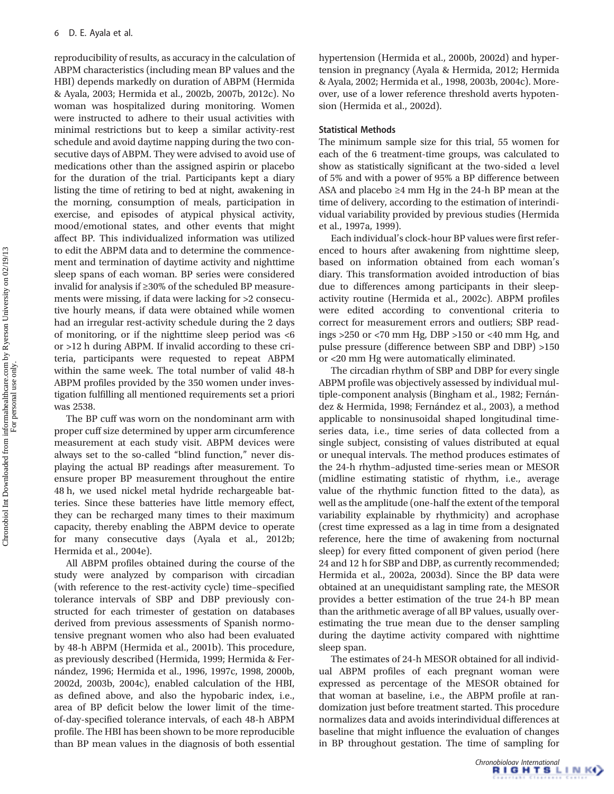reproducibility of results, as accuracy in the calculation of ABPM characteristics (including mean BP values and the HBI) depends markedly on duration of ABPM (Hermida & Ayala, 2003; Hermida et al., 2002b, 2007b, 2012c). No woman was hospitalized during monitoring. Women were instructed to adhere to their usual activities with minimal restrictions but to keep a similar activity-rest schedule and avoid daytime napping during the two consecutive days of ABPM. They were advised to avoid use of medications other than the assigned aspirin or placebo for the duration of the trial. Participants kept a diary listing the time of retiring to bed at night, awakening in the morning, consumption of meals, participation in exercise, and episodes of atypical physical activity, mood/emotional states, and other events that might affect BP. This individualized information was utilized to edit the ABPM data and to determine the commencement and termination of daytime activity and nighttime sleep spans of each woman. BP series were considered invalid for analysis if ≥30% of the scheduled BP measurements were missing, if data were lacking for >2 consecutive hourly means, if data were obtained while women had an irregular rest-activity schedule during the 2 days of monitoring, or if the nighttime sleep period was  $<6$ or >12 h during ABPM. If invalid according to these criteria, participants were requested to repeat ABPM within the same week. The total number of valid 48-h ABPM profiles provided by the 350 women under investigation fulfilling all mentioned requirements set a priori was 2538.

The BP cuff was worn on the nondominant arm with proper cuff size determined by upper arm circumference measurement at each study visit. ABPM devices were always set to the so-called "blind function," never displaying the actual BP readings after measurement. To ensure proper BP measurement throughout the entire 48 h, we used nickel metal hydride rechargeable batteries. Since these batteries have little memory effect, they can be recharged many times to their maximum capacity, thereby enabling the ABPM device to operate for many consecutive days (Ayala et al., 2012b; Hermida et al., 2004e).

All ABPM profiles obtained during the course of the study were analyzed by comparison with circadian (with reference to the rest-activity cycle) time–specified tolerance intervals of SBP and DBP previously constructed for each trimester of gestation on databases derived from previous assessments of Spanish normotensive pregnant women who also had been evaluated by 48-h ABPM (Hermida et al., 2001b). This procedure, as previously described (Hermida, 1999; Hermida & Fernández, 1996; Hermida et al., 1996, 1997c, 1998, 2000b, 2002d, 2003b, 2004c), enabled calculation of the HBI, as defined above, and also the hypobaric index, i.e., area of BP deficit below the lower limit of the timeof-day-specified tolerance intervals, of each 48-h ABPM profile. The HBI has been shown to be more reproducible than BP mean values in the diagnosis of both essential hypertension (Hermida et al., 2000b, 2002d) and hypertension in pregnancy (Ayala & Hermida, 2012; Hermida & Ayala, 2002; Hermida et al., 1998, 2003b, 2004c). Moreover, use of a lower reference threshold averts hypotension (Hermida et al., 2002d).

## Statistical Methods

The minimum sample size for this trial, 55 women for each of the 6 treatment-time groups, was calculated to show as statistically significant at the two-sided α level of 5% and with a power of 95% a BP difference between ASA and placebo ≥4 mm Hg in the 24-h BP mean at the time of delivery, according to the estimation of interindividual variability provided by previous studies (Hermida et al., 1997a, 1999).

Each individual's clock-hour BP values were first referenced to hours after awakening from nighttime sleep, based on information obtained from each woman's diary. This transformation avoided introduction of bias due to differences among participants in their sleepactivity routine (Hermida et al., 2002c). ABPM profiles were edited according to conventional criteria to correct for measurement errors and outliers; SBP readings >250 or <70 mm Hg, DBP >150 or <40 mm Hg, and pulse pressure (difference between SBP and DBP) >150 or <20 mm Hg were automatically eliminated.

The circadian rhythm of SBP and DBP for every single ABPM profile was objectively assessed by individual multiple-component analysis (Bingham et al., 1982; Fernández & Hermida, 1998; Fernández et al., 2003), a method applicable to nonsinusoidal shaped longitudinal timeseries data, i.e., time series of data collected from a single subject, consisting of values distributed at equal or unequal intervals. The method produces estimates of the 24-h rhythm–adjusted time-series mean or MESOR (midline estimating statistic of rhythm, i.e., average value of the rhythmic function fitted to the data), as well as the amplitude (one-half the extent of the temporal variability explainable by rhythmicity) and acrophase (crest time expressed as a lag in time from a designated reference, here the time of awakening from nocturnal sleep) for every fitted component of given period (here 24 and 12 h for SBP and DBP, as currently recommended; Hermida et al., 2002a, 2003d). Since the BP data were obtained at an unequidistant sampling rate, the MESOR provides a better estimation of the true 24-h BP mean than the arithmetic average of all BP values, usually overestimating the true mean due to the denser sampling during the daytime activity compared with nighttime sleep span.

The estimates of 24-h MESOR obtained for all individual ABPM profiles of each pregnant woman were expressed as percentage of the MESOR obtained for that woman at baseline, i.e., the ABPM profile at randomization just before treatment started. This procedure normalizes data and avoids interindividual differences at baseline that might influence the evaluation of changes in BP throughout gestation. The time of sampling for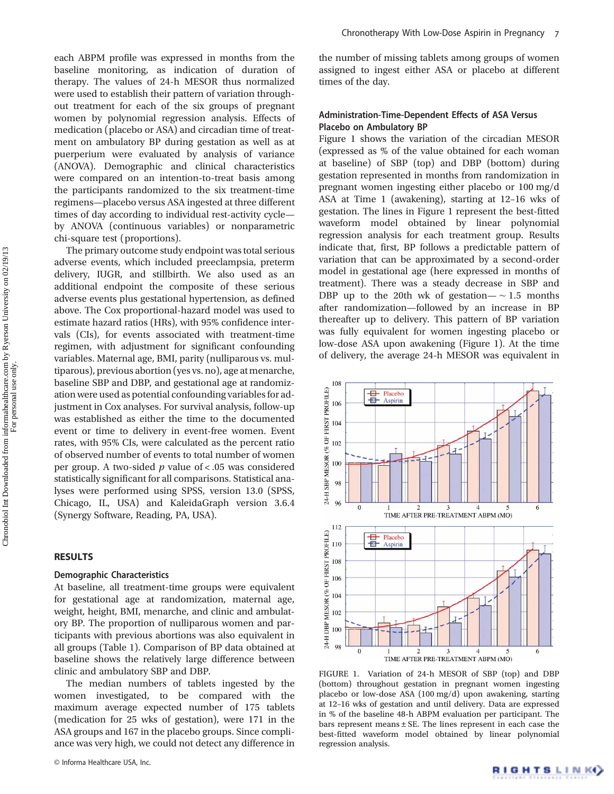each ABPM profile was expressed in months from the baseline monitoring, as indication of duration of therapy. The values of 24-h MESOR thus normalized were used to establish their pattern of variation throughout treatment for each of the six groups of pregnant women by polynomial regression analysis. Effects of medication (placebo or ASA) and circadian time of treatment on ambulatory BP during gestation as well as at puerperium were evaluated by analysis of variance (ANOVA). Demographic and clinical characteristics were compared on an intention-to-treat basis among the participants randomized to the six treatment-time regimens—placebo versus ASA ingested at three different times of day according to individual rest-activity cycle by ANOVA (continuous variables) or nonparametric chi-square test (proportions).

The primary outcome study endpoint was total serious adverse events, which included preeclampsia, preterm delivery, IUGR, and stillbirth. We also used as an additional endpoint the composite of these serious adverse events plus gestational hypertension, as defined above. The Cox proportional-hazard model was used to estimate hazard ratios (HRs), with 95% confidence intervals (CIs), for events associated with treatment-time regimen, with adjustment for significant confounding variables. Maternal age, BMI, parity (nulliparous vs. multiparous), previous abortion (yes vs. no), age at menarche, baseline SBP and DBP, and gestational age at randomization were used as potential confounding variables for adjustment in Cox analyses. For survival analysis, follow-up was established as either the time to the documented event or time to delivery in event-free women. Event rates, with 95% CIs, were calculated as the percent ratio of observed number of events to total number of women per group. A two-sided  $p$  value of < .05 was considered statistically significant for all comparisons. Statistical analyses were performed using SPSS, version 13.0 (SPSS, Chicago, IL, USA) and KaleidaGraph version 3.6.4 (Synergy Software, Reading, PA, USA).

# **RESULTS**

#### Demographic Characteristics

At baseline, all treatment-time groups were equivalent for gestational age at randomization, maternal age, weight, height, BMI, menarche, and clinic and ambulatory BP. The proportion of nulliparous women and participants with previous abortions was also equivalent in all groups (Table 1). Comparison of BP data obtained at baseline shows the relatively large difference between clinic and ambulatory SBP and DBP.

The median numbers of tablets ingested by the women investigated, to be compared with the maximum average expected number of 175 tablets (medication for 25 wks of gestation), were 171 in the ASA groups and 167 in the placebo groups. Since compliance was very high, we could not detect any difference in

the number of missing tablets among groups of women assigned to ingest either ASA or placebo at different times of the day.

# Administration-Time-Dependent Effects of ASA Versus Placebo on Ambulatory BP

Figure 1 shows the variation of the circadian MESOR (expressed as % of the value obtained for each woman at baseline) of SBP (top) and DBP (bottom) during gestation represented in months from randomization in pregnant women ingesting either placebo or 100 mg/d ASA at Time 1 (awakening), starting at 12–16 wks of gestation. The lines in Figure 1 represent the best-fitted waveform model obtained by linear polynomial regression analysis for each treatment group. Results indicate that, first, BP follows a predictable pattern of variation that can be approximated by a second-order model in gestational age (here expressed in months of treatment). There was a steady decrease in SBP and DBP up to the 20th wk of gestation—  $\sim 1.5$  months after randomization—followed by an increase in BP thereafter up to delivery. This pattern of BP variation was fully equivalent for women ingesting placebo or low-dose ASA upon awakening (Figure 1). At the time of delivery, the average 24-h MESOR was equivalent in



FIGURE 1. Variation of 24-h MESOR of SBP (top) and DBP (bottom) throughout gestation in pregnant women ingesting placebo or low-dose ASA (100 mg/d) upon awakening, starting at 12–16 wks of gestation and until delivery. Data are expressed in % of the baseline 48-h ABPM evaluation per participant. The bars represent means ± SE. The lines represent in each case the best-fitted waveform model obtained by linear polynomial regression analysis.

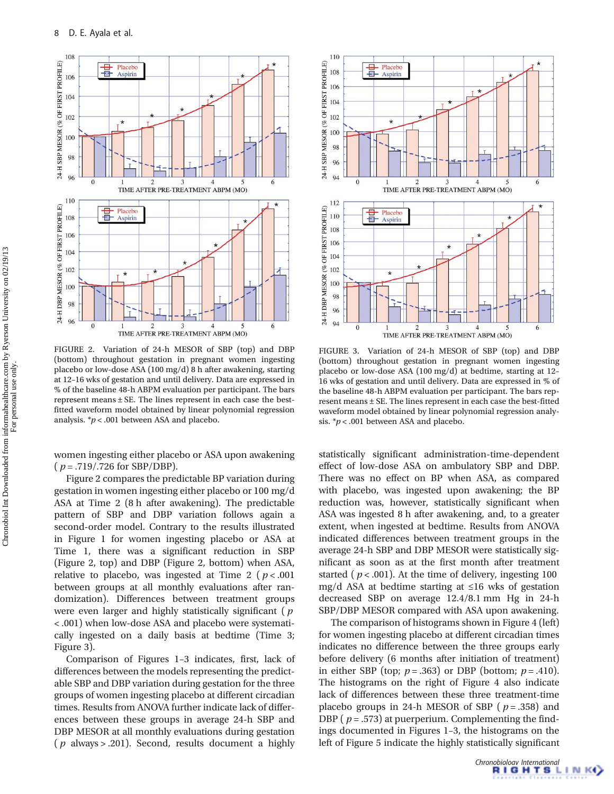

FIGURE 2. Variation of 24-h MESOR of SBP (top) and DBP (bottom) throughout gestation in pregnant women ingesting placebo or low-dose ASA (100 mg/d) 8 h after awakening, starting at 12–16 wks of gestation and until delivery. Data are expressed in % of the baseline 48-h ABPM evaluation per participant. The bars represent means ± SE. The lines represent in each case the bestfitted waveform model obtained by linear polynomial regression analysis.  $\gamma p < .001$  between ASA and placebo.

women ingesting either placebo or ASA upon awakening  $(p=.719/.726$  for SBP/DBP).

Figure 2 compares the predictable BP variation during gestation in women ingesting either placebo or 100 mg/d ASA at Time 2 (8 h after awakening). The predictable pattern of SBP and DBP variation follows again a second-order model. Contrary to the results illustrated in Figure 1 for women ingesting placebo or ASA at Time 1, there was a significant reduction in SBP (Figure 2, top) and DBP (Figure 2, bottom) when ASA, relative to placebo, was ingested at Time 2 ( $p < .001$ ) between groups at all monthly evaluations after randomization). Differences between treatment groups were even larger and highly statistically significant ( $p$ < .001) when low-dose ASA and placebo were systematically ingested on a daily basis at bedtime (Time 3; Figure 3).

Comparison of Figures 1–3 indicates, first, lack of differences between the models representing the predictable SBP and DBP variation during gestation for the three groups of women ingesting placebo at different circadian times. Results from ANOVA further indicate lack of differences between these groups in average 24-h SBP and DBP MESOR at all monthly evaluations during gestation ( $p$  always > .201). Second, results document a highly



FIGURE 3. Variation of 24-h MESOR of SBP (top) and DBP (bottom) throughout gestation in pregnant women ingesting placebo or low-dose ASA (100 mg/d) at bedtime, starting at 12– 16 wks of gestation and until delivery. Data are expressed in % of the baseline 48-h ABPM evaluation per participant. The bars represent means ± SE. The lines represent in each case the best-fitted waveform model obtained by linear polynomial regression analysis.  $\sp{*}p$  < .001 between ASA and placebo.

statistically significant administration-time-dependent effect of low-dose ASA on ambulatory SBP and DBP. There was no effect on BP when ASA, as compared with placebo, was ingested upon awakening; the BP reduction was, however, statistically significant when ASA was ingested 8 h after awakening, and, to a greater extent, when ingested at bedtime. Results from ANOVA indicated differences between treatment groups in the average 24-h SBP and DBP MESOR were statistically significant as soon as at the first month after treatment started ( $p < .001$ ). At the time of delivery, ingesting 100 mg/d ASA at bedtime starting at ≤16 wks of gestation decreased SBP on average 12.4/8.1 mm Hg in 24-h SBP/DBP MESOR compared with ASA upon awakening.

The comparison of histograms shown in Figure 4 (left) for women ingesting placebo at different circadian times indicates no difference between the three groups early before delivery (6 months after initiation of treatment) in either SBP (top;  $p = .363$ ) or DBP (bottom;  $p = .410$ ). The histograms on the right of Figure 4 also indicate lack of differences between these three treatment-time placebo groups in 24-h MESOR of SBP ( $p = .358$ ) and DBP ( $p = .573$ ) at puerperium. Complementing the findings documented in Figures 1–3, the histograms on the left of Figure 5 indicate the highly statistically significant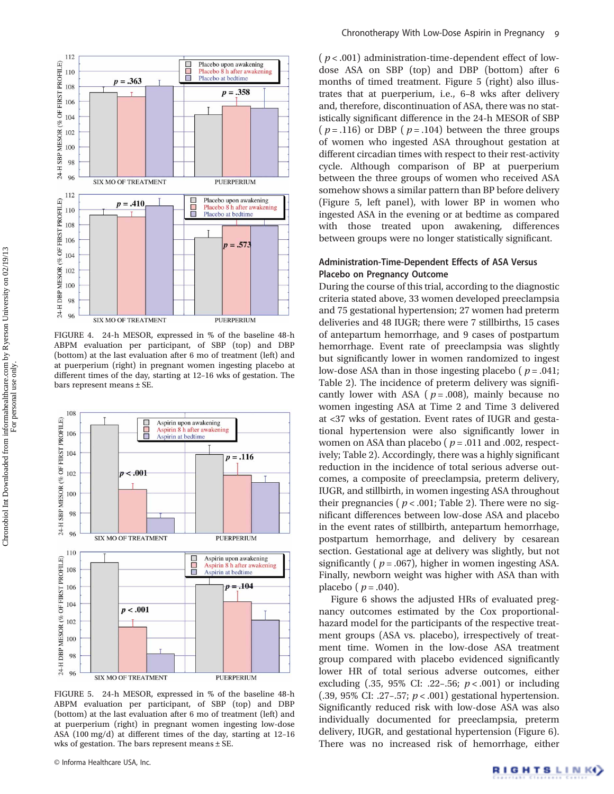

FIGURE 4. 24-h MESOR, expressed in % of the baseline 48-h ABPM evaluation per participant, of SBP (top) and DBP (bottom) at the last evaluation after 6 mo of treatment (left) and at puerperium (right) in pregnant women ingesting placebo at different times of the day, starting at 12–16 wks of gestation. The bars represent means ± SE.



FIGURE 5. 24-h MESOR, expressed in % of the baseline 48-h ABPM evaluation per participant, of SBP (top) and DBP (bottom) at the last evaluation after 6 mo of treatment (left) and at puerperium (right) in pregnant women ingesting low-dose ASA (100 mg/d) at different times of the day, starting at 12–16 wks of gestation. The bars represent means ± SE.

 $(p < .001)$  administration-time-dependent effect of lowdose ASA on SBP (top) and DBP (bottom) after 6 months of timed treatment. Figure 5 (right) also illustrates that at puerperium, i.e., 6–8 wks after delivery and, therefore, discontinuation of ASA, there was no statistically significant difference in the 24-h MESOR of SBP (  $p = .116$ ) or DBP (  $p = .104$ ) between the three groups of women who ingested ASA throughout gestation at different circadian times with respect to their rest-activity cycle. Although comparison of BP at puerperium between the three groups of women who received ASA somehow shows a similar pattern than BP before delivery (Figure 5, left panel), with lower BP in women who ingested ASA in the evening or at bedtime as compared with those treated upon awakening, differences between groups were no longer statistically significant.

# Administration-Time-Dependent Effects of ASA Versus Placebo on Pregnancy Outcome

During the course of this trial, according to the diagnostic criteria stated above, 33 women developed preeclampsia and 75 gestational hypertension; 27 women had preterm deliveries and 48 IUGR; there were 7 stillbirths, 15 cases of antepartum hemorrhage, and 9 cases of postpartum hemorrhage. Event rate of preeclampsia was slightly but significantly lower in women randomized to ingest low-dose ASA than in those ingesting placebo ( $p = .041$ ; Table 2). The incidence of preterm delivery was significantly lower with ASA ( $p = .008$ ), mainly because no women ingesting ASA at Time 2 and Time 3 delivered at <37 wks of gestation. Event rates of IUGR and gestational hypertension were also significantly lower in women on ASA than placebo ( $p = .011$  and .002, respectively; Table 2). Accordingly, there was a highly significant reduction in the incidence of total serious adverse outcomes, a composite of preeclampsia, preterm delivery, IUGR, and stillbirth, in women ingesting ASA throughout their pregnancies ( $p < .001$ ; Table 2). There were no significant differences between low-dose ASA and placebo in the event rates of stillbirth, antepartum hemorrhage, postpartum hemorrhage, and delivery by cesarean section. Gestational age at delivery was slightly, but not significantly ( $p = .067$ ), higher in women ingesting ASA. Finally, newborn weight was higher with ASA than with placebo ( $p = .040$ ).

Figure 6 shows the adjusted HRs of evaluated pregnancy outcomes estimated by the Cox proportionalhazard model for the participants of the respective treatment groups (ASA vs. placebo), irrespectively of treatment time. Women in the low-dose ASA treatment group compared with placebo evidenced significantly lower HR of total serious adverse outcomes, either excluding (.35, 95% CI: .22-.56;  $p < .001$ ) or including (.39, 95% CI: .27–.57;  $p < .001$ ) gestational hypertension. Significantly reduced risk with low-dose ASA was also individually documented for preeclampsia, preterm delivery, IUGR, and gestational hypertension (Figure 6). There was no increased risk of hemorrhage, either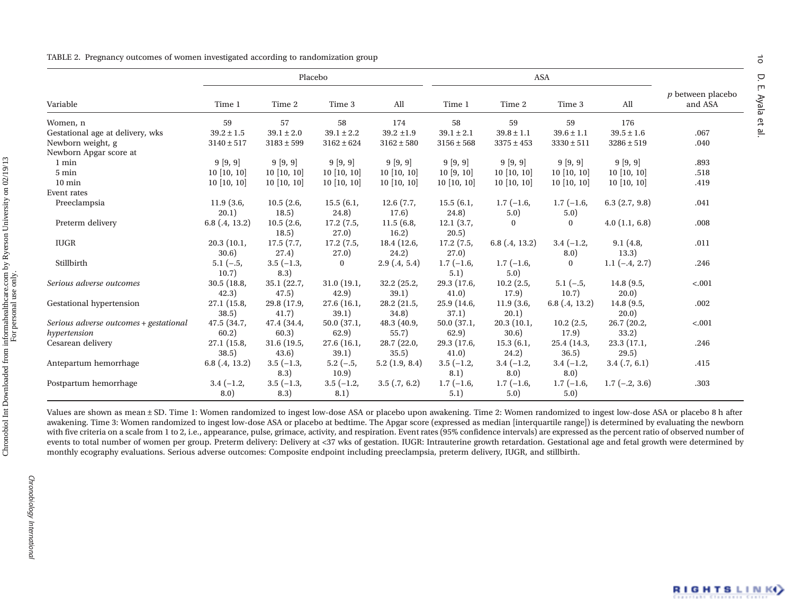|  | TABLE 2. Pregnancy outcomes of women investigated according to randomization group |  |  |  |  |  |
|--|------------------------------------------------------------------------------------|--|--|--|--|--|
|--|------------------------------------------------------------------------------------|--|--|--|--|--|

|                                        |                      | Placebo              |                      |                      | <b>ASA</b>           |                       |                     |                         |                              |
|----------------------------------------|----------------------|----------------------|----------------------|----------------------|----------------------|-----------------------|---------------------|-------------------------|------------------------------|
| Variable                               | Time 1               | Time 2               | Time 3               | All                  | Time 1               | Time 2                | Time 3              | All                     | p between placebo<br>and ASA |
| Women, n                               | 59                   | 57                   | 58                   | 174                  | 58                   | 59                    | 59                  | 176                     |                              |
| Gestational age at delivery, wks       | $39.2 \pm 1.5$       | $39.1 \pm 2.0$       | $39.1 \pm 2.2$       | $39.2 \pm 1.9$       | $39.1 \pm 2.1$       | $39.8 \pm 1.1$        | $39.6 \pm 1.1$      | $39.5 \pm 1.6$          | .067                         |
| Newborn weight, g                      | $3140 \pm 517$       | $3183 \pm 599$       | $3162 \pm 624$       | $3162 \pm 580$       | $3156 \pm 568$       | $3375 \pm 453$        | $3330 \pm 511$      | $3286 \pm 519$          | .040                         |
| Newborn Apgar score at                 |                      |                      |                      |                      |                      |                       |                     |                         |                              |
| 1 min                                  | 9[9, 9]              | 9[9, 9]              | 9[9, 9]              | 9[9, 9]              | 9[9, 9]              | 9[9, 9]               | 9[9, 9]             | 9[9, 9]                 | .893                         |
| 5 min                                  | $10$ [10, 10]        | $10$ [10, 10]        | $10$ [10, 10]        | $10$ [10, 10]        | 10[9, 10]            | $10$ [10, 10]         | $10$ [10, 10]       | 10[10, 10]              | .518                         |
| $10 \text{ min}$                       | $10$ [10, 10]        | $10$ [10, 10]        | $10$ [10, 10]        | $10$ [10, 10]        | $10$ [10, 10]        | $10$ [10, 10]         | $10$ [10, 10]       | $10$ [10, 10]           | .419                         |
| Event rates                            |                      |                      |                      |                      |                      |                       |                     |                         |                              |
| Preeclampsia                           | 11.9(3.6,            | 10.5(2.6,            | 15.5(6.1,            | 12.6(7.7,            | 15.5(6.1,            | $1.7(-1.6,$           | $1.7(-1.6,$         | $6.3$ $(2.7, 9.8)$      | .041                         |
|                                        | (20.1)               | 18.5)                | (24.8)               | 17.6)                | (24.8)               | 5.0)                  | 5.0)                |                         |                              |
| Preterm delivery                       | $6.8$ $(.4, 13.2)$   | 10.5(2.6,<br>18.5)   | 17.2(7.5,<br>27.0)   | 11.5(6.8,<br>16.2)   | 12.1(3.7,<br>20.5)   | $\Omega$              | $\mathbf{0}$        | 4.0(1.1, 6.8)           | .008                         |
| <b>IUGR</b>                            | 20.3(10.1,           | 17.5(7.7,            | 17.2(7.5,            | 18.4(12.6,           | 17.2(7.5,            | $6.8$ (.4, 13.2)      | $3.4(-1.2,$         | 9.1(4.8,                | .011                         |
|                                        | 30.6)                | 27.4)                | 27.0)                | 24.2)                | 27.0)                |                       | 8.0)                | 13.3)                   |                              |
| Stillbirth                             | $5.1(-.5,$<br>10.7)  | $3.5(-1.3,$<br>8.3)  | $\mathbf{0}$         | 2.9(0.4, 5.4)        | $1.7(-1.6,$<br>5.1)  | $1.7(-1.6,$<br>5.0)   | $\mathbf{0}$        | $1.1(-.4, 2.7)$         | .246                         |
| Serious adverse outcomes               | 30.5(18.8,<br>42.3)  | 35.1(22.7,<br>47.5)  | 31.0(19.1,<br>42.9)  | 32.2(25.2,<br>39.1)  | 29.3 (17.6,<br>41.0) | $10.2$ (2.5,<br>17.9) | $5.1(-.5,$<br>10.7) | 14.8(9.5,<br>(20.0)     | $-.001$                      |
| Gestational hypertension               | 27.1 (15.8,<br>38.5) | 29.8 (17.9,<br>41.7) | 27.6 (16.1,<br>39.1) | 28.2 (21.5,<br>34.8) | 25.9 (14.6,<br>37.1) | 11.9(3.6,<br>20.1)    | $6.8$ $(.4, 13.2)$  | 14.8(9.5,<br>(20.0)     | .002                         |
| Serious adverse outcomes + gestational | 47.5 (34.7,          | 47.4 (34.4,          | 50.0(37.1,           | 48.3(40.9,           | 50.0(37.1,           | 20.3(10.1,            | $10.2$ (2.5,        | 26.7(20.2,              | $-.001$                      |
| hypertension                           | 60.2)                | 60.3)                | 62.9)                | 55.7)                | 62.9)                | 30.6)                 | 17.9)               | 33.2)                   |                              |
| Cesarean delivery                      | 27.1(15.8,<br>38.5)  | 31.6(19.5,<br>(43.6) | 27.6(16.1,<br>39.1)  | 28.7(22.0,<br>35.5)  | 29.3(17.6,<br>41.0)  | 15.3(6.1,<br>24.2)    | 25.4(14.3,<br>36.5) | 23.3(17.1,<br>29.5)     | .246                         |
| Antepartum hemorrhage                  | $6.8$ $(.4, 13.2)$   | $3.5(-1.3,$<br>8.3)  | $5.2(-.5,$<br>10.9)  | 5.2(1.9, 8.4)        | $3.5(-1.2,$<br>8.1)  | $3.4(-1.2,$<br>8.0)   | $3.4(-1.2,$<br>8.0) | 3.4(0.7, 6.1)           | .415                         |
| Postpartum hemorrhage                  | $3.4(-1.2,$<br>8.0)  | $3.5(-1.3,$<br>8.3)  | $3.5(-1.2,$<br>8.1)  | $3.5$ $(.7, 6.2)$    | $1.7(-1.6,$<br>5.1)  | $1.7(-1.6,$<br>5.0)   | $1.7(-1.6,$<br>5.0) | $1.7$ ( $-.2$ , $3.6$ ) | .303                         |

Values are shown as mean ± SD. Time 1: Women randomized to ingest low-dose ASA or placebo upon awakening. Time 2: Women randomized to ingest low-dose ASA or placebo 8 h after awakening. Time 3: Women randomized to ingest low-dose ASA or placebo at bedtime. The Apgar score (expressed as median [interquartile range]) is determined by evaluating the newborn with five criteria on a scale from 1 to 2, i.e., appearance, pulse, grimace, activity, and respiration. Event rates (95% confidence intervals) are expressed as the percent ratio of observed number of events to total number of women per group. Preterm delivery: Delivery at <37 wks of gestation. IUGR: Intrauterine growth retardation. Gestational age and fetal growth were determined by monthly ecography evaluations. Serious adverse outcomes: Composite endpoint including preeclampsia, preterm delivery, IUGR, and stillbirth.

 $\vec{o}$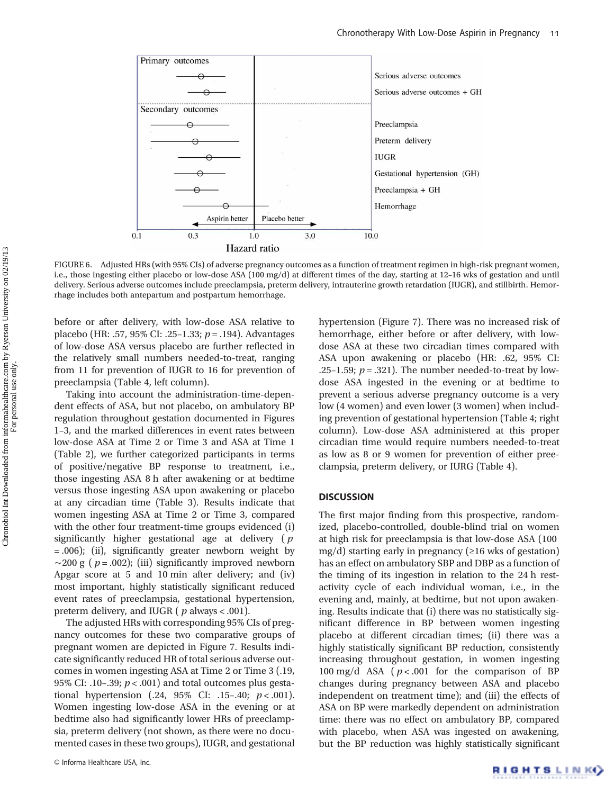

FIGURE 6. Adjusted HRs (with 95% CIs) of adverse pregnancy outcomes as a function of treatment regimen in high-risk pregnant women, i.e., those ingesting either placebo or low-dose ASA (100 mg/d) at different times of the day, starting at 12–16 wks of gestation and until delivery. Serious adverse outcomes include preeclampsia, preterm delivery, intrauterine growth retardation (IUGR), and stillbirth. Hemorrhage includes both antepartum and postpartum hemorrhage.

before or after delivery, with low-dose ASA relative to placebo (HR: .57, 95% CI: .25–1.33;  $p = .194$ ). Advantages of low-dose ASA versus placebo are further reflected in the relatively small numbers needed-to-treat, ranging from 11 for prevention of IUGR to 16 for prevention of preeclampsia (Table 4, left column).

Taking into account the administration-time-dependent effects of ASA, but not placebo, on ambulatory BP regulation throughout gestation documented in Figures 1–3, and the marked differences in event rates between low-dose ASA at Time 2 or Time 3 and ASA at Time 1 (Table 2), we further categorized participants in terms of positive/negative BP response to treatment, i.e., those ingesting ASA 8 h after awakening or at bedtime versus those ingesting ASA upon awakening or placebo at any circadian time (Table 3). Results indicate that women ingesting ASA at Time 2 or Time 3, compared with the other four treatment-time groups evidenced (i) significantly higher gestational age at delivery  $(p)$ = .006); (ii), significantly greater newborn weight by  $\sim$ 200 g ( *p* = .002); (iii) significantly improved newborn Apgar score at 5 and 10 min after delivery; and (iv) most important, highly statistically significant reduced event rates of preeclampsia, gestational hypertension, preterm delivery, and IUGR ( $p$  always < .001).

The adjusted HRs with corresponding 95% CIs of pregnancy outcomes for these two comparative groups of pregnant women are depicted in Figure 7. Results indicate significantly reduced HR of total serious adverse outcomes in women ingesting ASA at Time 2 or Time 3 (.19, 95% CI: .10-.39;  $p < .001$ ) and total outcomes plus gestational hypertension  $(.24, 95\% \text{ CI: } .15-.40; p<.001$ ). Women ingesting low-dose ASA in the evening or at bedtime also had significantly lower HRs of preeclampsia, preterm delivery (not shown, as there were no documented cases in these two groups), IUGR, and gestational hypertension (Figure 7). There was no increased risk of hemorrhage, either before or after delivery, with lowdose ASA at these two circadian times compared with ASA upon awakening or placebo (HR: .62, 95% CI: .25–1.59;  $p = .321$ ). The number needed-to-treat by lowdose ASA ingested in the evening or at bedtime to prevent a serious adverse pregnancy outcome is a very low (4 women) and even lower (3 women) when including prevention of gestational hypertension (Table 4; right column). Low-dose ASA administered at this proper circadian time would require numbers needed-to-treat as low as 8 or 9 women for prevention of either preeclampsia, preterm delivery, or IURG (Table 4).

## **DISCUSSION**

The first major finding from this prospective, randomized, placebo-controlled, double-blind trial on women at high risk for preeclampsia is that low-dose ASA (100 mg/d) starting early in pregnancy (≥16 wks of gestation) has an effect on ambulatory SBP and DBP as a function of the timing of its ingestion in relation to the 24 h restactivity cycle of each individual woman, i.e., in the evening and, mainly, at bedtime, but not upon awakening. Results indicate that (i) there was no statistically significant difference in BP between women ingesting placebo at different circadian times; (ii) there was a highly statistically significant BP reduction, consistently increasing throughout gestation, in women ingesting 100 mg/d ASA ( $p < .001$  for the comparison of BP changes during pregnancy between ASA and placebo independent on treatment time); and (iii) the effects of ASA on BP were markedly dependent on administration time: there was no effect on ambulatory BP, compared with placebo, when ASA was ingested on awakening, but the BP reduction was highly statistically significant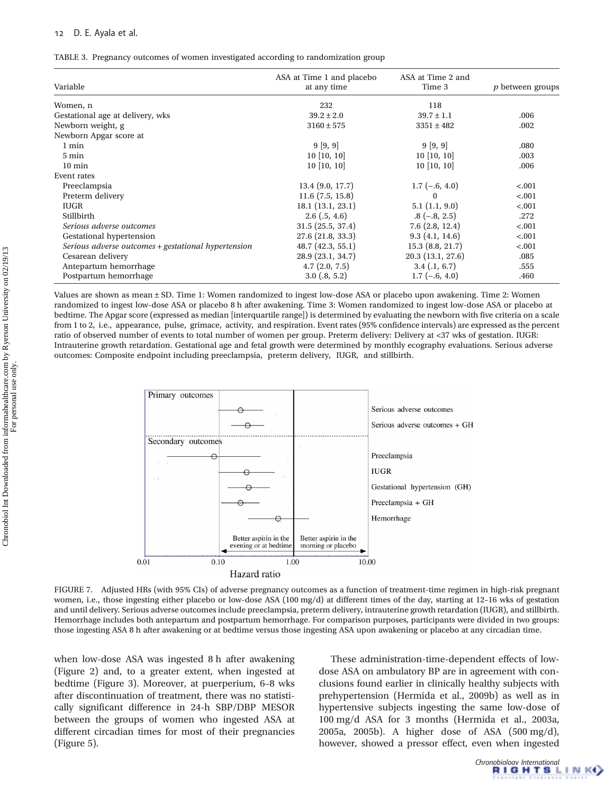## D. E. Ayala et al.

| TABLE 3. Pregnancy outcomes of women investigated according to randomization group |  |  |  |
|------------------------------------------------------------------------------------|--|--|--|

| Variable                                            | ASA at Time 1 and placebo<br>at any time | ASA at Time 2 and<br>Time 3 | <i>p</i> between groups |
|-----------------------------------------------------|------------------------------------------|-----------------------------|-------------------------|
| Women, n                                            | 232                                      | 118                         |                         |
| Gestational age at delivery, wks                    | $39.2 \pm 2.0$                           | $39.7 \pm 1.1$              | .006                    |
| Newborn weight, g                                   | $3160 \pm 575$                           | $3351 \pm 482$              | .002                    |
| Newborn Apgar score at                              |                                          |                             |                         |
| 1 min                                               | 9[9, 9]                                  | 9[9, 9]                     | .080                    |
| 5 min                                               | $10$ [10, 10]                            | $10$ [10, 10]               | .003                    |
| $10 \text{ min}$                                    | $10$ [10, 10]                            | $10$ [10, 10]               | .006                    |
| Event rates                                         |                                          |                             |                         |
| Preeclampsia                                        | 13.4(9.0, 17.7)                          | $1.7(-.6, 4.0)$             | < .001                  |
| Preterm delivery                                    | 11.6(7.5, 15.8)                          | $\Omega$                    | < .001                  |
| <b>IUGR</b>                                         | 18.1(13.1, 23.1)                         | 5.1(1.1, 9.0)               | < .001                  |
| Stillbirth                                          | $2.6$ $(.5, 4.6)$                        | $.8(-.8, 2.5)$              | .272                    |
| Serious adverse outcomes                            | 31.5(25.5, 37.4)                         | 7.6(2.8, 12.4)              | < .001                  |
| Gestational hypertension                            | 27.6(21.8, 33.3)                         | 9.3(4.1, 14.6)              | < .001                  |
| Serious adverse outcomes + gestational hypertension | 48.7(42.3, 55.1)                         | 15.3(8.8, 21.7)             | $-.001$                 |
| Cesarean delivery                                   | 28.9 (23.1, 34.7)                        | 20.3 (13.1, 27.6)           | .085                    |
| Antepartum hemorrhage                               | 4.7(2.0, 7.5)                            | $3.4$ (.1, 6.7)             | .555                    |
| Postpartum hemorrhage                               | $3.0$ $(.8, 5.2)$                        | $1.7(-.6, 4.0)$             | .460                    |

Values are shown as mean ± SD. Time 1: Women randomized to ingest low-dose ASA or placebo upon awakening. Time 2: Women randomized to ingest low-dose ASA or placebo 8 h after awakening. Time 3: Women randomized to ingest low-dose ASA or placebo at bedtime. The Apgar score (expressed as median [interquartile range]) is determined by evaluating the newborn with five criteria on a scale from 1 to 2, i.e., appearance, pulse, grimace, activity, and respiration. Event rates (95% confidence intervals) are expressed as the percent ratio of observed number of events to total number of women per group. Preterm delivery: Delivery at <37 wks of gestation. IUGR: Intrauterine growth retardation. Gestational age and fetal growth were determined by monthly ecography evaluations. Serious adverse outcomes: Composite endpoint including preeclampsia, preterm delivery, IUGR, and stillbirth.



FIGURE 7. Adjusted HRs (with 95% CIs) of adverse pregnancy outcomes as a function of treatment-time regimen in high-risk pregnant women, i.e., those ingesting either placebo or low-dose ASA (100 mg/d) at different times of the day, starting at 12–16 wks of gestation and until delivery. Serious adverse outcomes include preeclampsia, preterm delivery, intrauterine growth retardation (IUGR), and stillbirth. Hemorrhage includes both antepartum and postpartum hemorrhage. For comparison purposes, participants were divided in two groups: those ingesting ASA 8 h after awakening or at bedtime versus those ingesting ASA upon awakening or placebo at any circadian time.

when low-dose ASA was ingested 8 h after awakening (Figure 2) and, to a greater extent, when ingested at bedtime (Figure 3). Moreover, at puerperium, 6–8 wks after discontinuation of treatment, there was no statistically significant difference in 24-h SBP/DBP MESOR between the groups of women who ingested ASA at different circadian times for most of their pregnancies (Figure 5).

These administration-time-dependent effects of lowdose ASA on ambulatory BP are in agreement with conclusions found earlier in clinically healthy subjects with prehypertension (Hermida et al., 2009b) as well as in hypertensive subjects ingesting the same low-dose of 100 mg/d ASA for 3 months (Hermida et al., 2003a, 2005a, 2005b). A higher dose of ASA (500 mg/d), however, showed a pressor effect, even when ingested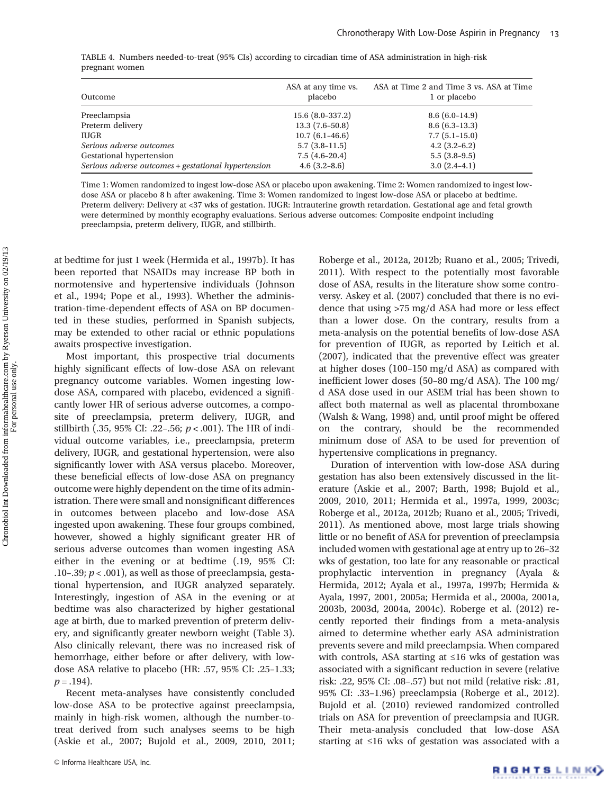| Outcome                                             | ASA at any time vs.<br>placebo | ASA at Time 2 and Time 3 vs. ASA at Time<br>1 or placebo |
|-----------------------------------------------------|--------------------------------|----------------------------------------------------------|
| Preeclampsia                                        | $15.6(8.0-337.2)$              | $8.6(6.0-14.9)$                                          |
| Preterm delivery                                    | $13.3(7.6-50.8)$               | $8.6(6.3-13.3)$                                          |
| <b>IUGR</b>                                         | $10.7(6.1-46.6)$               | $7.7(5.1-15.0)$                                          |
| Serious adverse outcomes                            | $5.7(3.8-11.5)$                | $4.2(3.2-6.2)$                                           |
| Gestational hypertension                            | $7.5(4.6-20.4)$                | $5.5(3.8-9.5)$                                           |
| Serious adverse outcomes + gestational hypertension | $4.6(3.2 - 8.6)$               | $3.0(2.4-4.1)$                                           |

TABLE 4. Numbers needed-to-treat (95% CIs) according to circadian time of ASA administration in high-risk pregnant women

Time 1: Women randomized to ingest low-dose ASA or placebo upon awakening. Time 2: Women randomized to ingest lowdose ASA or placebo 8 h after awakening. Time 3: Women randomized to ingest low-dose ASA or placebo at bedtime. Preterm delivery: Delivery at <37 wks of gestation. IUGR: Intrauterine growth retardation. Gestational age and fetal growth were determined by monthly ecography evaluations. Serious adverse outcomes: Composite endpoint including preeclampsia, preterm delivery, IUGR, and stillbirth.

at bedtime for just 1 week (Hermida et al., 1997b). It has been reported that NSAIDs may increase BP both in normotensive and hypertensive individuals (Johnson et al., 1994; Pope et al., 1993). Whether the administration-time-dependent effects of ASA on BP documented in these studies, performed in Spanish subjects, may be extended to other racial or ethnic populations awaits prospective investigation.

Most important, this prospective trial documents highly significant effects of low-dose ASA on relevant pregnancy outcome variables. Women ingesting lowdose ASA, compared with placebo, evidenced a significantly lower HR of serious adverse outcomes, a composite of preeclampsia, preterm delivery, IUGR, and stillbirth (.35, 95% CI: .22-.56;  $p < .001$ ). The HR of individual outcome variables, i.e., preeclampsia, preterm delivery, IUGR, and gestational hypertension, were also significantly lower with ASA versus placebo. Moreover, these beneficial effects of low-dose ASA on pregnancy outcome were highly dependent on the time of its administration. There were small and nonsignificant differences in outcomes between placebo and low-dose ASA ingested upon awakening. These four groups combined, however, showed a highly significant greater HR of serious adverse outcomes than women ingesting ASA either in the evening or at bedtime (.19, 95% CI: .10–.39;  $p < .001$ ), as well as those of preeclampsia, gestational hypertension, and IUGR analyzed separately. Interestingly, ingestion of ASA in the evening or at bedtime was also characterized by higher gestational age at birth, due to marked prevention of preterm delivery, and significantly greater newborn weight (Table 3). Also clinically relevant, there was no increased risk of hemorrhage, either before or after delivery, with lowdose ASA relative to placebo (HR: .57, 95% CI: .25–1.33;  $p = .194$ ).

Recent meta-analyses have consistently concluded low-dose ASA to be protective against preeclampsia, mainly in high-risk women, although the number-totreat derived from such analyses seems to be high (Askie et al., 2007; Bujold et al., 2009, 2010, 2011;

Roberge et al., 2012a, 2012b; Ruano et al., 2005; Trivedi, 2011). With respect to the potentially most favorable dose of ASA, results in the literature show some controversy. Askey et al. (2007) concluded that there is no evidence that using >75 mg/d ASA had more or less effect than a lower dose. On the contrary, results from a meta-analysis on the potential benefits of low-dose ASA for prevention of IUGR, as reported by Leitich et al. (2007), indicated that the preventive effect was greater at higher doses (100–150 mg/d ASA) as compared with inefficient lower doses (50–80 mg/d ASA). The 100 mg/ d ASA dose used in our ASEM trial has been shown to affect both maternal as well as placental thromboxane (Walsh & Wang, 1998) and, until proof might be offered on the contrary, should be the recommended minimum dose of ASA to be used for prevention of hypertensive complications in pregnancy.

Duration of intervention with low-dose ASA during gestation has also been extensively discussed in the literature (Askie et al., 2007; Barth, 1998; Bujold et al., 2009, 2010, 2011; Hermida et al., 1997a, 1999, 2003c; Roberge et al., 2012a, 2012b; Ruano et al., 2005; Trivedi, 2011). As mentioned above, most large trials showing little or no benefit of ASA for prevention of preeclampsia included women with gestational age at entry up to 26–32 wks of gestation, too late for any reasonable or practical prophylactic intervention in pregnancy (Ayala & Hermida, 2012; Ayala et al., 1997a, 1997b; Hermida & Ayala, 1997, 2001, 2005a; Hermida et al., 2000a, 2001a, 2003b, 2003d, 2004a, 2004c). Roberge et al. (2012) recently reported their findings from a meta-analysis aimed to determine whether early ASA administration prevents severe and mild preeclampsia. When compared with controls, ASA starting at ≤16 wks of gestation was associated with a significant reduction in severe (relative risk: .22, 95% CI: .08–.57) but not mild (relative risk: .81, 95% CI: .33–1.96) preeclampsia (Roberge et al., 2012). Bujold et al. (2010) reviewed randomized controlled trials on ASA for prevention of preeclampsia and IUGR. Their meta-analysis concluded that low-dose ASA starting at ≤16 wks of gestation was associated with a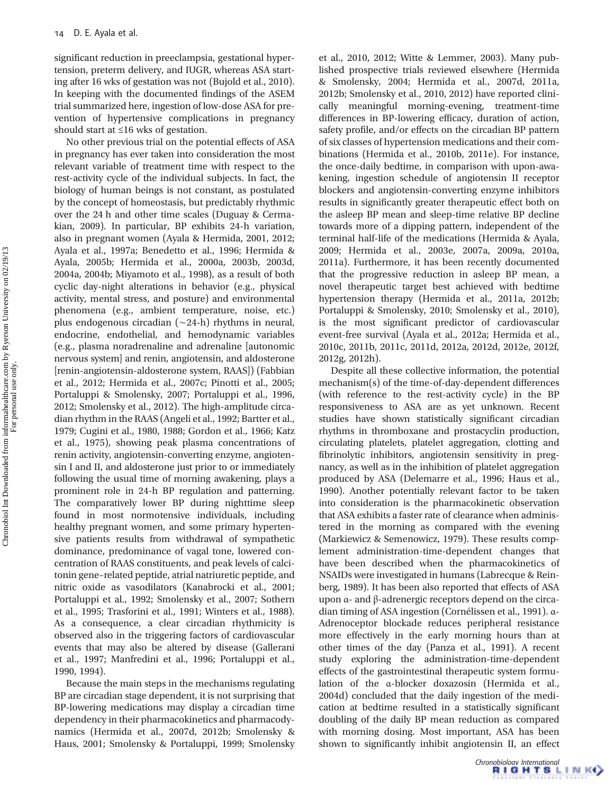significant reduction in preeclampsia, gestational hypertension, preterm delivery, and IUGR, whereas ASA starting after 16 wks of gestation was not (Bujold et al., 2010). In keeping with the documented findings of the ASEM trial summarized here, ingestion of low-dose ASA for prevention of hypertensive complications in pregnancy should start at ≤16 wks of gestation.

No other previous trial on the potential effects of ASA in pregnancy has ever taken into consideration the most relevant variable of treatment time with respect to the rest-activity cycle of the individual subjects. In fact, the biology of human beings is not constant, as postulated by the concept of homeostasis, but predictably rhythmic over the 24 h and other time scales (Duguay & Cermakian, 2009). In particular, BP exhibits 24-h variation, also in pregnant women (Ayala & Hermida, 2001, 2012; Ayala et al., 1997a; Benedetto et al., 1996; Hermida & Ayala, 2005b; Hermida et al., 2000a, 2003b, 2003d, 2004a, 2004b; Miyamoto et al., 1998), as a result of both cyclic day-night alterations in behavior (e.g., physical activity, mental stress, and posture) and environmental phenomena (e.g., ambient temperature, noise, etc.) plus endogenous circadian (∼24-h) rhythms in neural, endocrine, endothelial, and hemodynamic variables (e.g., plasma noradrenaline and adrenaline [autonomic nervous system] and renin, angiotensin, and aldosterone [renin-angiotensin-aldosterone system, RAAS]) (Fabbian et al., 2012; Hermida et al., 2007c; Pinotti et al., 2005; Portaluppi & Smolensky, 2007; Portaluppi et al., 1996, 2012; Smolensky et al., 2012). The high-amplitude circadian rhythm in the RAAS (Angeli et al., 1992; Bartter et al., 1979; Cugini et al., 1980, 1988; Gordon et al., 1966; Katz et al., 1975), showing peak plasma concentrations of renin activity, angiotensin-converting enzyme, angiotensin I and II, and aldosterone just prior to or immediately following the usual time of morning awakening, plays a prominent role in 24-h BP regulation and patterning. The comparatively lower BP during nighttime sleep found in most normotensive individuals, including healthy pregnant women, and some primary hypertensive patients results from withdrawal of sympathetic dominance, predominance of vagal tone, lowered concentration of RAAS constituents, and peak levels of calcitonin gene–related peptide, atrial natriuretic peptide, and nitric oxide as vasodilators (Kanabrocki et al., 2001; Portaluppi et al., 1992; Smolensky et al., 2007; Sothern et al., 1995; Trasforini et al., 1991; Winters et al., 1988). As a consequence, a clear circadian rhythmicity is observed also in the triggering factors of cardiovascular events that may also be altered by disease (Gallerani et al., 1997; Manfredini et al., 1996; Portaluppi et al., 1990, 1994).

Because the main steps in the mechanisms regulating BP are circadian stage dependent, it is not surprising that BP-lowering medications may display a circadian time dependency in their pharmacokinetics and pharmacodynamics (Hermida et al., 2007d, 2012b; Smolensky & Haus, 2001; Smolensky & Portaluppi, 1999; Smolensky et al., 2010, 2012; Witte & Lemmer, 2003). Many published prospective trials reviewed elsewhere (Hermida & Smolensky, 2004; Hermida et al., 2007d, 2011a, 2012b; Smolensky et al., 2010, 2012) have reported clinically meaningful morning-evening, treatment-time differences in BP-lowering efficacy, duration of action, safety profile, and/or effects on the circadian BP pattern of six classes of hypertension medications and their combinations (Hermida et al., 2010b, 2011e). For instance, the once-daily bedtime, in comparison with upon-awakening, ingestion schedule of angiotensin II receptor blockers and angiotensin-converting enzyme inhibitors results in significantly greater therapeutic effect both on the asleep BP mean and sleep-time relative BP decline towards more of a dipping pattern, independent of the terminal half-life of the medications (Hermida & Ayala, 2009; Hermida et al., 2003e, 2007a, 2009a, 2010a, 2011a). Furthermore, it has been recently documented that the progressive reduction in asleep BP mean, a novel therapeutic target best achieved with bedtime hypertension therapy (Hermida et al., 2011a, 2012b; Portaluppi & Smolensky, 2010; Smolensky et al., 2010), is the most significant predictor of cardiovascular event-free survival (Ayala et al., 2012a; Hermida et al., 2010c, 2011b, 2011c, 2011d, 2012a, 2012d, 2012e, 2012f, 2012g, 2012h).

Despite all these collective information, the potential mechanism(s) of the time-of-day-dependent differences (with reference to the rest-activity cycle) in the BP responsiveness to ASA are as yet unknown. Recent studies have shown statistically significant circadian rhythms in thromboxane and prostacyclin production, circulating platelets, platelet aggregation, clotting and fibrinolytic inhibitors, angiotensin sensitivity in pregnancy, as well as in the inhibition of platelet aggregation produced by ASA (Delemarre et al., 1996; Haus et al., 1990). Another potentially relevant factor to be taken into consideration is the pharmacokinetic observation that ASA exhibits a faster rate of clearance when administered in the morning as compared with the evening (Markiewicz & Semenowicz, 1979). These results complement administration-time-dependent changes that have been described when the pharmacokinetics of NSAIDs were investigated in humans (Labrecque & Reinberg, 1989). It has been also reported that effects of ASA upon α- and β-adrenergic receptors depend on the circadian timing of ASA ingestion (Cornélissen et al., 1991). α-Adrenoceptor blockade reduces peripheral resistance more effectively in the early morning hours than at other times of the day (Panza et al., 1991). A recent study exploring the administration-time-dependent effects of the gastrointestinal therapeutic system formulation of the α-blocker doxazosin (Hermida et al., 2004d) concluded that the daily ingestion of the medication at bedtime resulted in a statistically significant doubling of the daily BP mean reduction as compared with morning dosing. Most important, ASA has been shown to significantly inhibit angiotensin II, an effect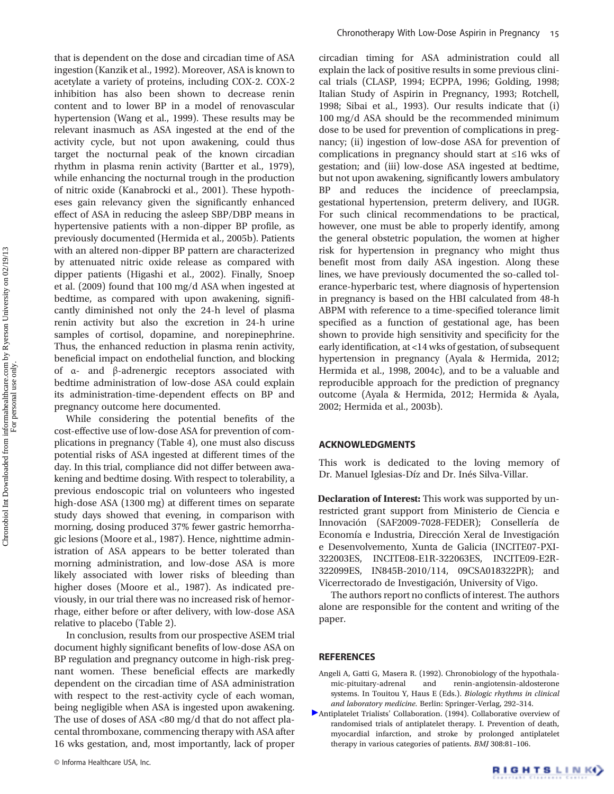that is dependent on the dose and circadian time of ASA ingestion (Kanzik et al., 1992). Moreover, ASA is known to acetylate a variety of proteins, including COX-2. COX-2 inhibition has also been shown to decrease renin content and to lower BP in a model of renovascular hypertension (Wang et al., 1999). These results may be relevant inasmuch as ASA ingested at the end of the activity cycle, but not upon awakening, could thus target the nocturnal peak of the known circadian rhythm in plasma renin activity (Bartter et al., 1979), while enhancing the nocturnal trough in the production of nitric oxide (Kanabrocki et al., 2001). These hypotheses gain relevancy given the significantly enhanced effect of ASA in reducing the asleep SBP/DBP means in hypertensive patients with a non-dipper BP profile, as previously documented (Hermida et al., 2005b). Patients with an altered non-dipper BP pattern are characterized by attenuated nitric oxide release as compared with dipper patients (Higashi et al., 2002). Finally, Snoep et al. (2009) found that 100 mg/d ASA when ingested at bedtime, as compared with upon awakening, significantly diminished not only the 24-h level of plasma renin activity but also the excretion in 24-h urine samples of cortisol, dopamine, and norepinephrine. Thus, the enhanced reduction in plasma renin activity, beneficial impact on endothelial function, and blocking of α- and β-adrenergic receptors associated with bedtime administration of low-dose ASA could explain its administration-time-dependent effects on BP and pregnancy outcome here documented.

While considering the potential benefits of the cost-effective use of low-dose ASA for prevention of complications in pregnancy (Table 4), one must also discuss potential risks of ASA ingested at different times of the day. In this trial, compliance did not differ between awakening and bedtime dosing. With respect to tolerability, a previous endoscopic trial on volunteers who ingested high-dose ASA (1300 mg) at different times on separate study days showed that evening, in comparison with morning, dosing produced 37% fewer gastric hemorrhagic lesions (Moore et al., 1987). Hence, nighttime administration of ASA appears to be better tolerated than morning administration, and low-dose ASA is more likely associated with lower risks of bleeding than higher doses (Moore et al., 1987). As indicated previously, in our trial there was no increased risk of hemorrhage, either before or after delivery, with low-dose ASA relative to placebo (Table 2).

In conclusion, results from our prospective ASEM trial document highly significant benefits of low-dose ASA on BP regulation and pregnancy outcome in high-risk pregnant women. These beneficial effects are markedly dependent on the circadian time of ASA administration with respect to the rest-activity cycle of each woman, being negligible when ASA is ingested upon awakening. The use of doses of ASA <80 mg/d that do not affect placental thromboxane, commencing therapy with ASA after 16 wks gestation, and, most importantly, lack of proper circadian timing for ASA administration could all explain the lack of positive results in some previous clinical trials (CLASP, 1994; ECPPA, 1996; Golding, 1998; Italian Study of Aspirin in Pregnancy, 1993; Rotchell, 1998; Sibai et al., 1993). Our results indicate that (i) 100 mg/d ASA should be the recommended minimum dose to be used for prevention of complications in pregnancy; (ii) ingestion of low-dose ASA for prevention of complications in pregnancy should start at ≤16 wks of gestation; and (iii) low-dose ASA ingested at bedtime, but not upon awakening, significantly lowers ambulatory BP and reduces the incidence of preeclampsia, gestational hypertension, preterm delivery, and IUGR. For such clinical recommendations to be practical, however, one must be able to properly identify, among the general obstetric population, the women at higher risk for hypertension in pregnancy who might thus benefit most from daily ASA ingestion. Along these lines, we have previously documented the so-called tolerance-hyperbaric test, where diagnosis of hypertension in pregnancy is based on the HBI calculated from 48-h ABPM with reference to a time-specified tolerance limit specified as a function of gestational age, has been shown to provide high sensitivity and specificity for the early identification, at <14 wks of gestation, of subsequent hypertension in pregnancy (Ayala & Hermida, 2012; Hermida et al., 1998, 2004c), and to be a valuable and reproducible approach for the prediction of pregnancy outcome (Ayala & Hermida, 2012; Hermida & Ayala, 2002; Hermida et al., 2003b).

## ACKNOWLEDGMENTS

This work is dedicated to the loving memory of Dr. Manuel Iglesias-Díz and Dr. Inés Silva-Villar.

**Declaration of Interest:** This work was supported by unrestricted grant support from Ministerio de Ciencia e Innovación (SAF2009-7028-FEDER); Consellería de Economía e Industria, Dirección Xeral de Investigación e Desenvolvemento, Xunta de Galicia (INCITE07-PXI-322003ES, INCITE08-E1R-322063ES, INCITE09-E2R-322099ES, IN845B-2010/114, 09CSA018322PR); Vicerrectorado de Investigación, University of Vigo.

The authors report no conflicts of interest. The authors alone are responsible for the content and writing of the paper.

#### **REFERENCES**

- Angeli A, Gatti G, Masera R. (1992). Chronobiology of the hypothalamic-pituitary-adrenal and renin-angiotensin-aldosterone systems. In Touitou Y, Haus E (Eds.). Biologic rhythms in clinical and laboratory medicine. Berlin: Springer-Verlag, 292–314.
- Antiplatelet Trialists' Collaboration. (1994). Collaborative overview of randomised trials of antiplatelet therapy. I. Prevention of death, myocardial infarction, and stroke by prolonged antiplatelet therapy in various categories of patients. BMJ 308:81–106.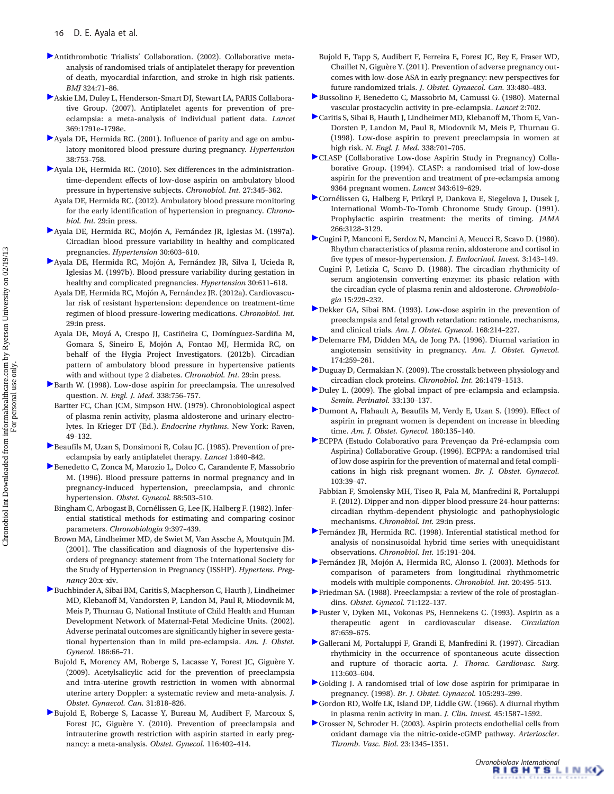- Antithrombotic Trialists' Collaboration. (2002). Collaborative metaanalysis of randomised trials of antiplatelet therapy for prevention of death, myocardial infarction, and stroke in high risk patients. BMJ 324:71–86.
- Askie LM, Duley L, Henderson-Smart DJ, Stewart LA, PARIS Collaborative Group. (2007). Antiplatelet agents for prevention of preeclampsia: a meta-analysis of individual patient data. Lancet 369:1791e–1798e.
- Ayala DE, Hermida RC. (2001). Influence of parity and age on ambulatory monitored blood pressure during pregnancy. Hypertension 38:753–758.
- Ayala DE, Hermida RC. (2010). Sex differences in the administrationtime-dependent effects of low-dose aspirin on ambulatory blood pressure in hypertensive subjects. Chronobiol. Int. 27:345–362.
	- Ayala DE, Hermida RC. (2012). Ambulatory blood pressure monitoring for the early identification of hypertension in pregnancy. Chronobiol. Int. 29:in press.
- Ayala DE, Hermida RC, Mojón A, Fernández JR, Iglesias M. (1997a). Circadian blood pressure variability in healthy and complicated pregnancies. Hypertension 30:603–610.
- Ayala DE, Hermida RC, Mojón A, Fernández JR, Silva I, Ucieda R, Iglesias M. (1997b). Blood pressure variability during gestation in healthy and complicated pregnancies. Hypertension 30:611–618.
- Ayala DE, Hermida RC, Mojón A, Fernández JR. (2012a). Cardiovascular risk of resistant hypertension: dependence on treatment-time regimen of blood pressure-lowering medications. Chronobiol. Int. 29:in press.
- Ayala DE, Moyá A, Crespo JJ, Castiñeira C, Domínguez-Sardiña M, Gomara S, Sineiro E, Mojón A, Fontao MJ, Hermida RC, on behalf of the Hygia Project Investigators. (2012b). Circadian pattern of ambulatory blood pressure in hypertensive patients with and without type 2 diabetes. Chronobiol. Int. 29:in press.
- Barth W. (1998). Low-dose aspirin for preeclampsia. The unresolved question. N. Engl. J. Med. 338:756–757.
- Bartter FC, Chan JCM, Simpson HW. (1979). Chronobiological aspect of plasma renin activity, plasma aldosterone and urinary electrolytes. In Krieger DT (Ed.). Endocrine rhythms. New York: Raven, 49–132.
- Beaufils M, Uzan S, Donsimoni R, Colau JC. (1985). Prevention of preeclampsia by early antiplatelet therapy. Lancet 1:840–842.
- Benedetto C, Zonca M, Marozio L, Dolco C, Carandente F, Massobrio M. (1996). Blood pressure patterns in normal pregnancy and in pregnancy-induced hypertension, preeclampsia, and chronic hypertension. Obstet. Gynecol. 88:503–510.
	- Bingham C, Arbogast B, Cornélissen G, Lee JK, Halberg F. (1982). Inferential statistical methods for estimating and comparing cosinor parameters. Chronobiologia 9:397–439.
- Brown MA, Lindheimer MD, de Swiet M, Van Assche A, Moutquin JM. (2001). The classification and diagnosis of the hypertensive disorders of pregnancy: statement from The International Society for the Study of Hypertension in Pregnancy (ISSHP). Hypertens. Pregnancy 20:x–xiv.
- Buchbinder A, Sibai BM, Caritis S, Macpherson C, Hauth J, Lindheimer MD, Klebanoff M, Vandorsten P, Landon M, Paul R, Miodovnik M, Meis P, Thurnau G, National Institute of Child Health and Human Development Network of Maternal-Fetal Medicine Units. (2002). Adverse perinatal outcomes are significantly higher in severe gestational hypertension than in mild pre-eclampsia. Am. J. Obstet. Gynecol. 186:66–71.
- Bujold E, Morency AM, Roberge S, Lacasse Y, Forest JC, Giguère Y. (2009). Acetylsalicylic acid for the prevention of preeclampsia and intra-uterine growth restriction in women with abnormal uterine artery Doppler: a systematic review and meta-analysis. J. Obstet. Gynaecol. Can. 31:818–826.
- Bujold E, Roberge S, Lacasse Y, Bureau M, Audibert F, Marcoux S, Forest JC, Giguère Y. (2010). Prevention of preeclampsia and intrauterine growth restriction with aspirin started in early pregnancy: a meta-analysis. Obstet. Gynecol. 116:402–414.
- Bujold E, Tapp S, Audibert F, Ferreira E, Forest JC, Rey E, Fraser WD, Chaillet N, Giguère Y. (2011). Prevention of adverse pregnancy outcomes with low-dose ASA in early pregnancy: new perspectives for future randomized trials. J. Obstet. Gynaecol. Can. 33:480–483.
- Bussolino F, Benedetto C, Massobrio M, Camussi G. (1980). Maternal vascular prostacyclin activity in pre-eclampsia. Lancet 2:702.
- Caritis S, Sibai B, Hauth J, Lindheimer MD, Klebanoff M, Thom E, Van-Dorsten P, Landon M, Paul R, Miodovnik M, Meis P, Thurnau G. (1998). Low-dose aspirin to prevent preeclampsia in women at high risk. N. Engl. J. Med. 338:701–705.
- CLASP (Collaborative Low-dose Aspirin Study in Pregnancy) Collaborative Group. (1994). CLASP: a randomised trial of low-dose aspirin for the prevention and treatment of pre-eclampsia among 9364 pregnant women. Lancet 343:619–629.
- Cornélissen G, Halberg F, Prikryl P, Dankova E, Siegelova J, Dusek J, International Womb-To-Tomb Chronome Study Group. (1991). Prophylactic aspirin treatment: the merits of timing. JAMA 266:3128–3129.
- Cugini P, Manconi E, Serdoz N, Mancini A, Meucci R, Scavo D. (1980). Rhythm characteristics of plasma renin, aldosterone and cortisol in five types of mesor-hypertension. J. Endocrinol. Invest. 3:143–149.
- Cugini P, Letizia C, Scavo D. (1988). The circadian rhythmicity of serum angiotensin converting enzyme: its phasic relation with the circadian cycle of plasma renin and aldosterone. Chronobiologia 15:229–232.
- Dekker GA, Sibai BM. (1993). Low-dose aspirin in the prevention of preeclampsia and fetal growth retardation: rationale, mechanisms, and clinical trials. Am. J. Obstet. Gynecol. 168:214–227.
- Delemarre FM, Didden MA, de Jong PA. (1996). Diurnal variation in angiotensin sensitivity in pregnancy. Am. J. Obstet. Gynecol. 174:259–261.
- Duguay D, Cermakian N. (2009). The crosstalk between physiology and circadian clock proteins. Chronobiol. Int. 26:1479–1513.
- Duley L. (2009). The global impact of pre-eclampsia and eclampsia. Semin. Perinatol. 33:130–137.
- Dumont A, Flahault A, Beaufils M, Verdy E, Uzan S. (1999). Effect of aspirin in pregnant women is dependent on increase in bleeding time. Am. J. Obstet. Gynecol. 180:135–140.
- ECPPA (Estudo Colaborativo para Prevençao da Pré-eclampsia com Aspirina) Collaborative Group. (1996). ECPPA: a randomised trial of low dose aspirin for the prevention of maternal and fetal complications in high risk pregnant women. Br. J. Obstet. Gynaecol. 103:39–47.
- Fabbian F, Smolensky MH, Tiseo R, Pala M, Manfredini R, Portaluppi F. (2012). Dipper and non-dipper blood pressure 24-hour patterns: circadian rhythm-dependent physiologic and pathophysiologic mechanisms. Chronobiol. Int. 29:in press.
- Fernández JR, Hermida RC. (1998). Inferential statistical method for analysis of nonsinusoidal hybrid time series with unequidistant observations. Chronobiol. Int. 15:191–204.
- Fernández JR, Mojón A, Hermida RC, Alonso I. (2003). Methods for comparison of parameters from longitudinal rhythmometric models with multiple components. Chronobiol. Int. 20:495–513.
- Friedman SA. (1988). Preeclampsia: a review of the role of prostaglandins. Obstet. Gynecol. 71:122–137.
- Fuster V, Dyken ML, Vokonas PS, Hennekens C. (1993). Aspirin as a therapeutic agent in cardiovascular disease. Circulation 87:659–675.
- Gallerani M, Portaluppi F, Grandi E, Manfredini R. (1997). Circadian rhythmicity in the occurrence of spontaneous acute dissection and rupture of thoracic aorta. J. Thorac. Cardiovasc. Surg. 113:603–604.
- Golding J. A randomised trial of low dose aspirin for primiparae in pregnancy. (1998). Br. J. Obstet. Gynaecol. 105:293–299.
- Gordon RD, Wolfe LK, Island DP, Liddle GW. (1966). A diurnal rhythm in plasma renin activity in man. J. Clin. Invest. 45:1587–1592.
- Grosser N, Schroder H. (2003). Aspirin protects endothelial cells from oxidant damage via the nitric-oxide-cGMP pathway. Arterioscler. Thromb. Vasc. Biol. 23:1345–1351.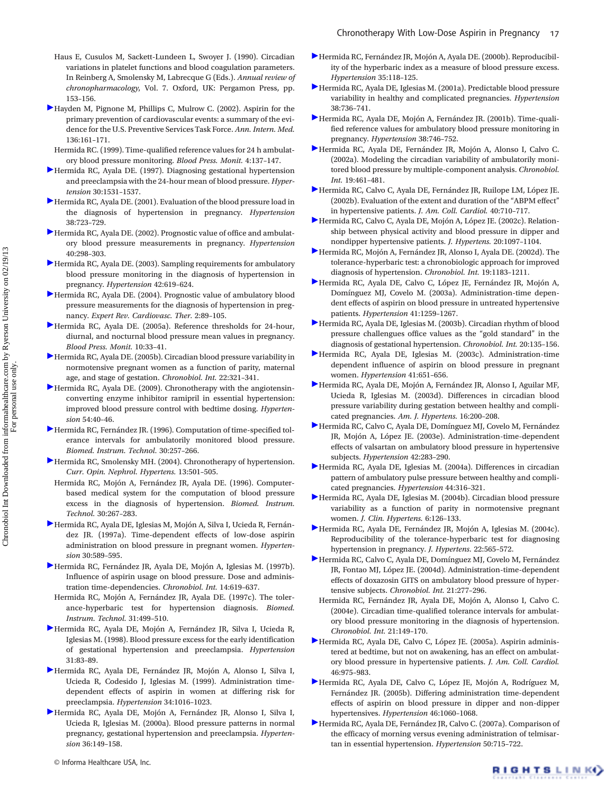- Haus E, Cusulos M, Sackett-Lundeen L, Swoyer J. (1990). Circadian variations in platelet functions and blood coagulation parameters. In Reinberg A, Smolensky M, Labrecque G (Eds.). Annual review of chronopharmacology, Vol. 7. Oxford, UK: Pergamon Press, pp. 153–156.
- Hayden M, Pignone M, Phillips C, Mulrow C. (2002). Aspirin for the primary prevention of cardiovascular events: a summary of the evidence for the U.S. Preventive Services Task Force. Ann. Intern. Med. 136:161–171.
- Hermida RC. (1999). Time-qualified reference values for 24 h ambulatory blood pressure monitoring. Blood Press. Monit. 4:137–147.
- Hermida RC, Ayala DE. (1997). Diagnosing gestational hypertension and preeclampsia with the 24-hour mean of blood pressure. Hypertension 30:1531–1537.
- Hermida RC, Ayala DE. (2001). Evaluation of the blood pressure load in the diagnosis of hypertension in pregnancy. Hypertension 38:723–729.
- Hermida RC, Ayala DE. (2002). Prognostic value of office and ambulatory blood pressure measurements in pregnancy. Hypertension 40:298–303.
- Hermida RC, Ayala DE. (2003). Sampling requirements for ambulatory blood pressure monitoring in the diagnosis of hypertension in pregnancy. Hypertension 42:619–624.
- Hermida RC, Ayala DE. (2004). Prognostic value of ambulatory blood pressure measurements for the diagnosis of hypertension in pregnancy. Expert Rev. Cardiovasc. Ther. 2:89–105.
- Hermida RC, Ayala DE. (2005a). Reference thresholds for 24-hour, diurnal, and nocturnal blood pressure mean values in pregnancy. Blood Press. Monit. 10:33–41.
- Hermida RC, Ayala DE. (2005b). Circadian blood pressure variability in normotensive pregnant women as a function of parity, maternal age, and stage of gestation. Chronobiol. Int. 22:321–341.
- Hermida RC, Ayala DE. (2009). Chronotherapy with the angiotensinconverting enzyme inhibitor ramipril in essential hypertension: improved blood pressure control with bedtime dosing. Hypertension 54:40–46.
- Hermida RC, Fernández JR. (1996). Computation of time-specified tolerance intervals for ambulatorily monitored blood pressure. Biomed. Instrum. Technol. 30:257–266.
- Hermida RC, Smolensky MH. (2004). Chronotherapy of hypertension. Curr. Opin. Nephrol. Hypertens. 13:501–505.
- Hermida RC, Mojón A, Fernández JR, Ayala DE. (1996). Computerbased medical system for the computation of blood pressure excess in the diagnosis of hypertension. Biomed. Instrum. Technol. 30:267–283.
- Hermida RC, Ayala DE, Iglesias M, Mojón A, Silva I, Ucieda R, Fernández JR. (1997a). Time-dependent effects of low-dose aspirin administration on blood pressure in pregnant women. Hypertension 30:589–595.
- Hermida RC, Fernández JR, Ayala DE, Mojón A, Iglesias M. (1997b). Influence of aspirin usage on blood pressure. Dose and administration time-dependencies. Chronobiol. Int. 14:619–637.
- Hermida RC, Mojón A, Fernández JR, Ayala DE. (1997c). The tolerance-hyperbaric test for hypertension diagnosis. Biomed. Instrum. Technol. 31:499–510.
- Hermida RC, Ayala DE, Mojón A, Fernández JR, Silva I, Ucieda R, Iglesias M. (1998). Blood pressure excess for the early identification of gestational hypertension and preeclampsia. Hypertension 31:83–89.
- Hermida RC, Ayala DE, Fernández JR, Mojón A, Alonso I, Silva I, Ucieda R, Codesido J, Iglesias M. (1999). Administration timedependent effects of aspirin in women at differing risk for preeclampsia. Hypertension 34:1016–1023.
- Hermida RC, Ayala DE, Mojón A, Fernández JR, Alonso I, Silva I, Ucieda R, Iglesias M. (2000a). Blood pressure patterns in normal pregnancy, gestational hypertension and preeclampsia. Hypertension 36:149–158.
- Hermida RC, Fernández JR, Mojón A, Ayala DE. (2000b). Reproducibility of the hyperbaric index as a measure of blood pressure excess. Hypertension 35:118–125.
- Hermida RC, Ayala DE, Iglesias M. (2001a). Predictable blood pressure variability in healthy and complicated pregnancies. Hypertension 38:736–741.
- Hermida RC, Ayala DE, Mojón A, Fernández JR. (2001b). Time-qualified reference values for ambulatory blood pressure monitoring in pregnancy. Hypertension 38:746–752.
- Hermida RC, Ayala DE, Fernández JR, Mojón A, Alonso I, Calvo C. (2002a). Modeling the circadian variability of ambulatorily monitored blood pressure by multiple-component analysis. Chronobiol. Int. 19:461–481.
- Hermida RC, Calvo C, Ayala DE, Fernández JR, Ruilope LM, López JE. (2002b). Evaluation of the extent and duration of the "ABPM effect" in hypertensive patients. J. Am. Coll. Cardiol. 40:710–717.
- Hermida RC, Calvo C, Ayala DE, Mojón A, López JE. (2002c). Relationship between physical activity and blood pressure in dipper and nondipper hypertensive patients. J. Hypertens. 20:1097–1104.
- Hermida RC, Mojón A, Fernández JR, Alonso I, Ayala DE. (2002d). The tolerance-hyperbaric test: a chronobiologic approach for improved diagnosis of hypertension. Chronobiol. Int. 19:1183–1211.
- Hermida RC, Ayala DE, Calvo C, López JE, Fernández JR, Mojón A, Domínguez MJ, Covelo M. (2003a). Administration-time dependent effects of aspirin on blood pressure in untreated hypertensive patients. Hypertension 41:1259–1267.
- Hermida RC, Ayala DE, Iglesias M. (2003b). Circadian rhythm of blood pressure challengues office values as the "gold standard" in the diagnosis of gestational hypertension. Chronobiol. Int. 20:135–156.
- Hermida RC, Ayala DE, Iglesias M. (2003c). Administration-time dependent influence of aspirin on blood pressure in pregnant women. Hypertension 41:651–656.
- Hermida RC, Ayala DE, Mojón A, Fernández JR, Alonso I, Aguilar MF, Ucieda R, Iglesias M. (2003d). Differences in circadian blood pressure variability during gestation between healthy and complicated pregnancies. Am. J. Hypertens. 16:200–208.
- Hermida RC, Calvo C, Ayala DE, Domínguez MJ, Covelo M, Fernández JR, Mojón A, López JE. (2003e). Administration-time-dependent effects of valsartan on ambulatory blood pressure in hypertensive subjects. Hypertension 42:283–290.
- Hermida RC, Ayala DE, Iglesias M. (2004a). Differences in circadian pattern of ambulatory pulse pressure between healthy and complicated pregnancies. Hypertension 44:316–321.
- Hermida RC, Ayala DE, Iglesias M. (2004b). Circadian blood pressure variability as a function of parity in normotensive pregnant women. J. Clin. Hypertens. 6:126–133.
- Hermida RC, Ayala DE, Fernández JR, Mojón A, Iglesias M. (2004c). Reproducibility of the tolerance-hyperbaric test for diagnosing hypertension in pregnancy. J. Hypertens. 22:565–572.
- Hermida RC, Calvo C, Ayala DE, Domínguez MJ, Covelo M, Fernández JR, Fontao MJ, López JE. (2004d). Administration-time-dependent effects of doxazosin GITS on ambulatory blood pressure of hypertensive subjects. Chronobiol. Int. 21:277–296.
- Hermida RC, Fernández JR, Ayala DE, Mojón A, Alonso I, Calvo C. (2004e). Circadian time-qualified tolerance intervals for ambulatory blood pressure monitoring in the diagnosis of hypertension. Chronobiol. Int. 21:149–170.
- Hermida RC, Ayala DE, Calvo C, López JE. (2005a). Aspirin administered at bedtime, but not on awakening, has an effect on ambulatory blood pressure in hypertensive patients. J. Am. Coll. Cardiol. 46:975–983.
- Hermida RC, Ayala DE, Calvo C, López JE, Mojón A, Rodríguez M, Fernández JR. (2005b). Differing administration time-dependent effects of aspirin on blood pressure in dipper and non-dipper hypertensives. Hypertension 46:1060–1068.
- Hermida RC, Ayala DE, Fernández JR, Calvo C. (2007a). Comparison of the efficacy of morning versus evening administration of telmisartan in essential hypertension. Hypertension 50:715–722.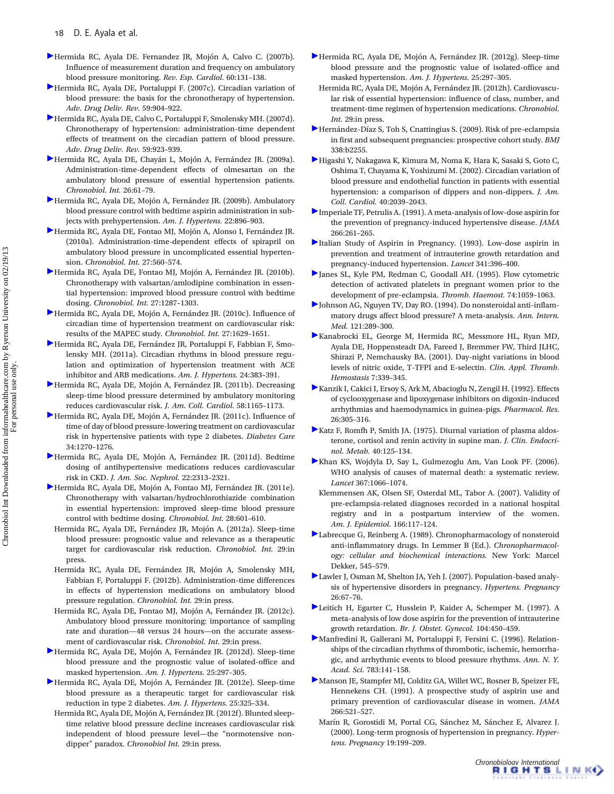- Hermida RC, Ayala DE. Fernandez JR, Mojón A, Calvo C. (2007b). Influence of measurement duration and frequency on ambulatory blood pressure monitoring. Rev. Esp. Cardiol. 60:131–138.
- Hermida RC, Ayala DE, Portaluppi F. (2007c). Circadian variation of blood pressure: the basis for the chronotherapy of hypertension. Adv. Drug Deliv. Rev. 59:904–922.
- Hermida RC, Ayala DE, Calvo C, Portaluppi F, Smolensky MH. (2007d). Chronotherapy of hypertension: administration-time dependent effects of treatment on the circadian pattern of blood pressure. Adv. Drug Deliv. Rev. 59:923–939.
- Hermida RC, Ayala DE, Chayán L, Mojón A, Fernández JR. (2009a). Administration-time-dependent effects of olmesartan on the ambulatory blood pressure of essential hypertension patients. Chronobiol. Int. 26:61–79.
- Hermida RC, Ayala DE, Mojón A, Fernández JR. (2009b). Ambulatory blood pressure control with bedtime aspirin administration in subjects with prehypertension. Am. J. Hypertens. 22:896–903.
- Hermida RC, Ayala DE, Fontao MJ, Mojón A, Alonso I, Fernández JR. (2010a). Administration-time-dependent effects of spirapril on ambulatory blood pressure in uncomplicated essential hypertension. Chronobiol. Int. 27:560–574.
- Hermida RC, Ayala DE, Fontao MJ, Mojón A, Fernández JR. (2010b). Chronotherapy with valsartan/amlodipine combination in essential hypertension: improved blood pressure control with bedtime dosing. Chronobiol. Int. 27:1287–1303.
- Hermida RC, Ayala DE, Mojón A, Fernández JR. (2010c). Influence of circadian time of hypertension treatment on cardiovascular risk: results of the MAPEC study. Chronobiol. Int. 27:1629–1651.
- Hermida RC, Ayala DE, Fernández JR, Portaluppi F, Fabbian F, Smolensky MH. (2011a). Circadian rhythms in blood pressure regulation and optimization of hypertension treatment with ACE inhibitor and ARB medications. Am. J. Hypertens. 24:383–391.
- Hermida RC, Ayala DE, Mojón A, Fernández JR. (2011b). Decreasing sleep-time blood pressure determined by ambulatory monitoring reduces cardiovascular risk. J. Am. Coll. Cardiol. 58:1165–1173.
- Hermida RC, Ayala DE, Mojón A, Fernández JR. (2011c). Influence of time of day of blood pressure-lowering treatment on cardiovascular risk in hypertensive patients with type 2 diabetes. Diabetes Care 34:1270–1276.
- Hermida RC, Ayala DE, Mojón A, Fernández JR. (2011d). Bedtime dosing of antihypertensive medications reduces cardiovascular risk in CKD. J. Am. Soc. Nephrol. 22:2313–2321.
- Hermida RC, Ayala DE, Mojón A, Fontao MJ, Fernández JR. (2011e). Chronotherapy with valsartan/hydrochlorothiazide combination in essential hypertension: improved sleep-time blood pressure control with bedtime dosing. Chronobiol. Int. 28:601–610.
	- Hermida RC, Ayala DE, Fernández JR, Mojón A. (2012a). Sleep-time blood pressure: prognostic value and relevance as a therapeutic target for cardiovascular risk reduction. Chronobiol. Int. 29:in press.
	- Hermida RC, Ayala DE, Fernández JR, Mojón A, Smolensky MH, Fabbian F, Portaluppi F. (2012b). Administration-time differences in effects of hypertension medications on ambulatory blood pressure regulation. Chronobiol. Int. 29:in press.
	- Hermida RC, Ayala DE, Fontao MJ, Mojón A, Fernández JR. (2012c). Ambulatory blood pressure monitoring: importance of sampling rate and duration—48 versus 24 hours—on the accurate assessment of cardiovascular risk. Chronobiol. Int. 29:in press.
- Hermida RC, Ayala DE, Mojón A, Fernández JR. (2012d). Sleep-time blood pressure and the prognostic value of isolated-office and masked hypertension. Am. J. Hypertens. 25:297–305.
- Hermida RC, Ayala DE, Mojón A, Fernández JR. (2012e). Sleep-time blood pressure as a therapeutic target for cardiovascular risk reduction in type 2 diabetes. Am. J. Hypertens. 25:325–334.
- Hermida RC, Ayala DE, Mojón A, Fernández JR. (2012f). Blunted sleeptime relative blood pressure decline increases cardiovascular risk independent of blood pressure level—the "normotensive nondipper" paradox. Chronobiol Int. 29:in press.
- Hermida RC, Ayala DE, Mojón A, Fernández JR. (2012g). Sleep-time blood pressure and the prognostic value of isolated-office and masked hypertension. Am. J. Hypertens. 25:297–305.
- Hermida RC, Ayala DE, Mojón A, Fernández JR. (2012h). Cardiovascular risk of essential hypertension: influence of class, number, and treatment-time regimen of hypertension medications. Chronobiol. Int. 29:in press.
- Hernández-Díaz S, Toh S, Cnattingius S. (2009). Risk of pre-eclampsia in first and subsequent pregnancies: prospective cohort study. BMJ 338:b2255.
- Higashi Y, Nakagawa K, Kimura M, Noma K, Hara K, Sasaki S, Goto C, Oshima T, Chayama K, Yoshizumi M. (2002). Circadian variation of blood pressure and endothelial function in patients with essential hypertension: a comparison of dippers and non-dippers. J. Am. Coll. Cardiol. 40:2039–2043.
- Imperiale TF, Petrulis A. (1991). A meta-analysis of low-dose aspirin for the prevention of pregnancy-induced hypertensive disease. JAMA 266:261–265.
- Italian Study of Aspirin in Pregnancy. (1993). Low-dose aspirin in prevention and treatment of intrauterine growth retardation and pregnancy-induced hypertension. Lancet 341:396–400.
- Janes SL, Kyle PM, Redman C, Goodall AH. (1995). Flow cytometric detection of activated platelets in pregnant women prior to the development of pre-eclampsia. Thromb. Haemost. 74:1059–1063.
- Johnson AG, Nguyen TV, Day RO. (1994). Do nonsteroidal anti-inflammatory drugs affect blood pressure? A meta-analysis. Ann. Intern. Med. 121:289–300.
- Kanabrocki EL, George M, Hermida RC, Messmore HL, Ryan MD, Ayala DE, Hoppensteadt DA, Fareed J, Bremmer FW, Third JLHC, Shirazi P, Nemchausky BA. (2001). Day-night variations in blood levels of nitric oxide, T-TFPI and E-selectin. Clin. Appl. Thromb. Hemostasis 7:339–345.
- Kanzik I, Cakici I, Ersoy S, Ark M, Abacioglu N, Zengil H. (1992). Effects of cyclooxygenase and lipoxygenase inhibitors on digoxin-induced arrhythmias and haemodynamics in guinea-pigs. Pharmacol. Res. 26:305–316.
- Katz F, Romfh P, Smith JA. (1975). Diurnal variation of plasma aldosterone, cortisol and renin activity in supine man. J. Clin. Endocrinol. Metab. 40:125–134.
- Khan KS, Wojdyla D, Say L, Gulmezoglu Am, Van Look PF. (2006). WHO analysis of causes of maternal death: a systematic review. Lancet 367:1066–1074.
- Klemmensen AK, Olsen SF, Osterdal ML, Tabor A. (2007). Validity of pre-eclampsia-related diagnoses recorded in a national hospital registry and in a postpartum interview of the women. Am. J. Epidemiol. 166:117–124.
- Labrecque G, Reinberg A. (1989). Chronopharmacology of nonsteroid anti-inflammatory drugs. In Lemmer B (Ed.). Chronopharmacology: cellular and biochemical interactions. New York: Marcel Dekker, 545–579.
- Lawler J, Osman M, Shelton JA, Yeh J. (2007). Population-based analysis of hypertensive disorders in pregnancy. Hypertens. Pregnancy 26:67–76.
- Leitich H, Egarter C, Husslein P, Kaider A, Schemper M. (1997). A meta-analysis of low dose aspirin for the prevention of intrauterine growth retardation. Br. J. Obstet. Gynecol. 104:450–459.
- Manfredini R, Gallerani M, Portaluppi F, Fersini C. (1996). Relationships of the circadian rhythms of thrombotic, ischemic, hemorrhagic, and arrhythmic events to blood pressure rhythms. Ann. N. Y. Acad. Sci. 783:141–158.
- Manson JE, Stampfer MJ, Colditz GA, Willet WC, Rosner B, Speizer FE, Hennekens CH. (1991). A prospective study of aspirin use and primary prevention of cardiovascular disease in women. JAMA 266:521–527.
- Marín R, Gorostidi M, Portal CG, Sánchez M, Sánchez E, Alvarez J. (2000). Long-term prognosis of hypertension in pregnancy. Hypertens. Pregnancy 19:199–209.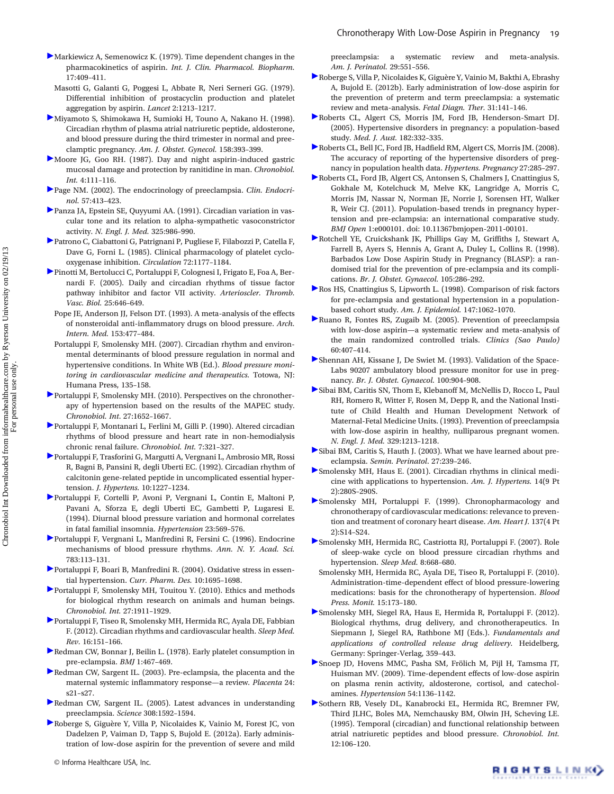- Markiewicz A, Semenowicz K. (1979). Time dependent changes in the pharmacokinetics of aspirin. Int. J. Clin. Pharmacol. Biopharm. 17:409–411.
	- Masotti G, Galanti G, Poggesi L, Abbate R, Neri Serneri GG. (1979). Differential inhibition of prostacyclin production and platelet aggregation by aspirin. Lancet 2:1213–1217.
- Miyamoto S, Shimokawa H, Sumioki H, Touno A, Nakano H. (1998). Circadian rhythm of plasma atrial natriuretic peptide, aldosterone, and blood pressure during the third trimester in normal and preeclamptic pregnancy. Am. J. Obstet. Gynecol. 158:393–399.
- Moore JG, Goo RH. (1987). Day and night aspirin-induced gastric mucosal damage and protection by ranitidine in man. Chronobiol. Int. 4:111–116.
- Page NM. (2002). The endocrinology of preeclampsia. Clin. Endocrinol. 57:413–423.
- Panza JA, Epstein SE, Quyyumi AA. (1991). Circadian variation in vascular tone and its relation to alpha-sympathetic vasoconstrictor activity. N. Engl. J. Med. 325:986–990.
- Patrono C, Ciabattoni G, Patrignani P, Pugliese F, Filabozzi P, Catella F, Dave G, Forni L. (1985). Clinical pharmacology of platelet cyclooxygenase inhibition. Circulation 72:1177–1184.
- Pinotti M, Bertolucci C, Portaluppi F, Colognesi I, Frigato E, Foa A, Bernardi F. (2005). Daily and circadian rhythms of tissue factor pathway inhibitor and factor VII activity. Arterioscler. Thromb. Vasc. Biol. 25:646–649.
- Pope JE, Anderson JJ, Felson DT. (1993). A meta-analysis of the effects of nonsteroidal anti-inflammatory drugs on blood pressure. Arch. Intern. Med. 153:477–484.
- Portaluppi F, Smolensky MH. (2007). Circadian rhythm and environmental determinants of blood pressure regulation in normal and hypertensive conditions. In White WB (Ed.). Blood pressure monitoring in cardiovascular medicine and therapeutics. Totowa, NJ: Humana Press, 135–158.
- Portaluppi F, Smolensky MH. (2010). Perspectives on the chronotherapy of hypertension based on the results of the MAPEC study. Chronobiol. Int. 27:1652–1667.
- Portaluppi F, Montanari L, Ferlini M, Gilli P. (1990). Altered circadian rhythms of blood pressure and heart rate in non-hemodialysis chronic renal failure. Chronobiol. Int. 7:321–327.
- Portaluppi F, Trasforini G, Margutti A, Vergnani L, Ambrosio MR, Rossi R, Bagni B, Pansini R, degli Uberti EC. (1992). Circadian rhythm of calcitonin gene-related peptide in uncomplicated essential hypertension. J. Hypertens. 10:1227–1234.
- Portaluppi F, Cortelli P, Avoni P, Vergnani L, Contin E, Maltoni P, Pavani A, Sforza E, degli Uberti EC, Gambetti P, Lugaresi E. (1994). Diurnal blood pressure variation and hormonal correlates in fatal familial insomnia. Hypertension 23:569–576.
- Portaluppi F, Vergnani L, Manfredini R, Fersini C. (1996). Endocrine mechanisms of blood pressure rhythms. Ann. N. Y. Acad. Sci. 783:113–131.
- Portaluppi F, Boari B, Manfredini R. (2004). Oxidative stress in essential hypertension. Curr. Pharm. Des. 10:1695–1698.
- Portaluppi F, Smolensky MH, Touitou Y. (2010). Ethics and methods for biological rhythm research on animals and human beings. Chronobiol. Int. 27:1911–1929.
- Portaluppi F, Tiseo R, Smolensky MH, Hermida RC, Ayala DE, Fabbian F. (2012). Circadian rhythms and cardiovascular health. Sleep Med. Rev. 16:151–166.
- Redman CW, Bonnar J, Beilin L. (1978). Early platelet consumption in pre-eclampsia. BMJ 1:467–469.
- Redman CW, Sargent IL. (2003). Pre-eclampsia, the placenta and the maternal systemic inflammatory response—a review. Placenta 24: s21–s27.
- Redman CW, Sargent IL. (2005). Latest advances in understanding preeclampsia. Science 308:1592–1594.
- Roberge S, Giguère Y, Villa P, Nicolaides K, Vainio M, Forest JC, von Dadelzen P, Vaiman D, Tapp S, Bujold E. (2012a). Early administration of low-dose aspirin for the prevention of severe and mild

preeclampsia: a systematic review and meta-analysis. Am. J. Perinatol. 29:551–556.

- Roberge S, Villa P, Nicolaides K, Giguère Y, Vainio M, Bakthi A, Ebrashy A, Bujold E. (2012b). Early administration of low-dose aspirin for the prevention of preterm and term preeclampsia: a systematic review and meta-analysis. Fetal Diagn. Ther. 31:141–146.
- Roberts CL, Algert CS, Morris JM, Ford JB, Henderson-Smart DJ. (2005). Hypertensive disorders in pregnancy: a population-based study. Med. J. Aust. 182:332–335.
- Roberts CL, Bell JC, Ford JB, Hadfield RM, Algert CS, Morris JM. (2008). The accuracy of reporting of the hypertensive disorders of pregnancy in population health data. Hypertens. Pregnancy 27:285–297.
- Roberts CL, Ford JB, Algert CS, Antonsen S, Chalmers J, Cnattingius S, Gokhale M, Kotelchuck M, Melve KK, Langridge A, Morris C, Morris JM, Nassar N, Norman JE, Norrie J, Sorensen HT, Walker R, Weir CJ. (2011). Population-based trends in pregnancy hypertension and pre-eclampsia: an international comparative study. BMJ Open 1:e000101. doi: 10.11367bmjopen-2011-00101.
- Rotchell YE, Cruickshank JK, Phillips Gay M, Griffiths J, Stewart A, Farrell B, Ayers S, Hennis A, Grant A, Duley L, Collins R. (1998). Barbados Low Dose Aspirin Study in Pregnancy (BLASP): a randomised trial for the prevention of pre-eclampsia and its complications. Br. J. Obstet. Gynaecol. 105:286–292.
- Ros HS, Cnattingius S, Lipworth L. (1998). Comparison of risk factors for pre-eclampsia and gestational hypertension in a populationbased cohort study. Am. J. Epidemiol. 147:1062–1070.
- Ruano R, Fontes RS, Zugaib M. (2005). Prevention of preeclampsia with low-dose aspirin—a systematic review and meta-analysis of the main randomized controlled trials. Clinics (Sao Paulo) 60:407–414.
- Shennan AH, Kissane J, De Swiet M. (1993). Validation of the Space-Labs 90207 ambulatory blood pressure monitor for use in pregnancy. Br. J. Obstet. Gynaecol. 100:904–908.
- Sibai BM, Caritis SN, Thom E, Klebanoff M, McNellis D, Rocco L, Paul RH, Romero R, Witter F, Rosen M, Depp R, and the National Institute of Child Health and Human Development Network of Maternal-Fetal Medicine Units. (1993). Prevention of preeclampsia with low-dose aspirin in healthy, nulliparous pregnant women. N. Engl. J. Med. 329:1213–1218.
- Sibai BM, Caritis S, Hauth J. (2003). What we have learned about preeclampsia. Semin. Perinatol. 27:239–246.
- Smolensky MH, Haus E. (2001). Circadian rhythms in clinical medicine with applications to hypertension. Am. J. Hypertens. 14(9 Pt 2):280S–290S.
- Smolensky MH, Portaluppi F. (1999). Chronopharmacology and chronotherapy of cardiovascular medications: relevance to prevention and treatment of coronary heart disease. Am. Heart J. 137(4 Pt 2):S14–S24.
- Smolensky MH, Hermida RC, Castriotta RJ, Portaluppi F. (2007). Role of sleep-wake cycle on blood pressure circadian rhythms and hypertension. Sleep Med. 8:668–680.
- Smolensky MH, Hermida RC, Ayala DE, Tiseo R, Portaluppi F. (2010). Administration-time-dependent effect of blood pressure-lowering medications: basis for the chronotherapy of hypertension. Blood Press. Monit. 15:173–180.
- Smolensky MH, Siegel RA, Haus E, Hermida R, Portaluppi F. (2012). Biological rhythms, drug delivery, and chronotherapeutics. In Siepmann J, Siegel RA, Rathbone MJ (Eds.). Fundamentals and applications of controlled release drug delivery. Heidelberg, Germany: Springer-Verlag, 359–443.
- Snoep JD, Hovens MMC, Pasha SM, Frölich M, Pijl H, Tamsma JT, Huisman MV. (2009). Time-dependent effects of low-dose aspirin on plasma renin activity, aldosterone, cortisol, and catecholamines. Hypertension 54:1136–1142.
- Sothern RB, Vesely DL, Kanabrocki EL, Hermida RC, Bremner FW, Third JLHC, Boles MA, Nemchausky BM, Olwin JH, Scheving LE. (1995). Temporal (circadian) and functional relationship between atrial natriuretic peptides and blood pressure. Chronobiol. Int. 12:106–120.